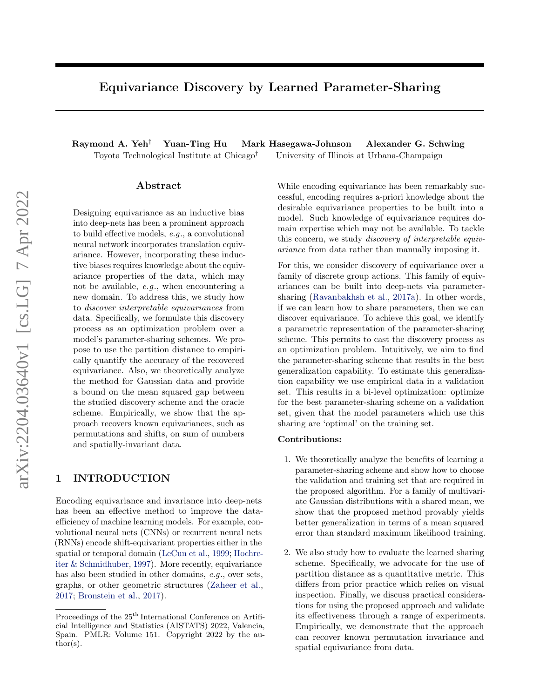# Equivariance Discovery by Learned Parameter-Sharing

Raymond A. Yeh† Yuan-Ting Hu Mark Hasegawa-Johnson Alexander G. Schwing Toyota Technological Institute at Chicago† University of Illinois at Urbana-Champaign

## Abstract

Designing equivariance as an inductive bias into deep-nets has been a prominent approach to build effective models, e.g., a convolutional neural network incorporates translation equivariance. However, incorporating these inductive biases requires knowledge about the equivariance properties of the data, which may not be available, e.g., when encountering a new domain. To address this, we study how to discover interpretable equivariances from data. Specifically, we formulate this discovery process as an optimization problem over a model's parameter-sharing schemes. We propose to use the partition distance to empirically quantify the accuracy of the recovered equivariance. Also, we theoretically analyze the method for Gaussian data and provide a bound on the mean squared gap between the studied discovery scheme and the oracle scheme. Empirically, we show that the approach recovers known equivariances, such as permutations and shifts, on sum of numbers and spatially-invariant data.

## 1 INTRODUCTION

Encoding equivariance and invariance into deep-nets has been an effective method to improve the dataefficiency of machine learning models. For example, convolutional neural nets (CNNs) or recurrent neural nets (RNNs) encode shift-equivariant properties either in the spatial or temporal domain [\(LeCun et al.,](#page-9-0) [1999;](#page-9-0) [Hochre](#page-9-1)[iter & Schmidhuber,](#page-9-1) [1997\)](#page-9-1). More recently, equivariance has also been studied in other domains, e.g., over sets, graphs, or other geometric structures [\(Zaheer et al.,](#page-10-0) [2017;](#page-10-0) [Bronstein et al.,](#page-8-0) [2017\)](#page-8-0).

While encoding equivariance has been remarkably successful, encoding requires a-priori knowledge about the desirable equivariance properties to be built into a model. Such knowledge of equivariance requires domain expertise which may not be available. To tackle this concern, we study discovery of interpretable equivariance from data rather than manually imposing it.

For this, we consider discovery of equivariance over a family of discrete group actions. This family of equivariances can be built into deep-nets via parametersharing [\(Ravanbakhsh et al.,](#page-9-2) [2017a\)](#page-9-2). In other words, if we can learn how to share parameters, then we can discover equivariance. To achieve this goal, we identify a parametric representation of the parameter-sharing scheme. This permits to cast the discovery process as an optimization problem. Intuitively, we aim to find the parameter-sharing scheme that results in the best generalization capability. To estimate this generalization capability we use empirical data in a validation set. This results in a bi-level optimization: optimize for the best parameter-sharing scheme on a validation set, given that the model parameters which use this sharing are 'optimal' on the training set.

#### Contributions:

- 1. We theoretically analyze the benefits of learning a parameter-sharing scheme and show how to choose the validation and training set that are required in the proposed algorithm. For a family of multivariate Gaussian distributions with a shared mean, we show that the proposed method provably yields better generalization in terms of a mean squared error than standard maximum likelihood training.
- 2. We also study how to evaluate the learned sharing scheme. Specifically, we advocate for the use of partition distance as a quantitative metric. This differs from prior practice which relies on visual inspection. Finally, we discuss practical considerations for using the proposed approach and validate its effectiveness through a range of experiments. Empirically, we demonstrate that the approach can recover known permutation invariance and spatial equivariance from data.

Proceedings of the  $25<sup>th</sup>$  International Conference on Artificial Intelligence and Statistics (AISTATS) 2022, Valencia, Spain. PMLR: Volume 151. Copyright 2022 by the au- $\text{thor}(s)$ .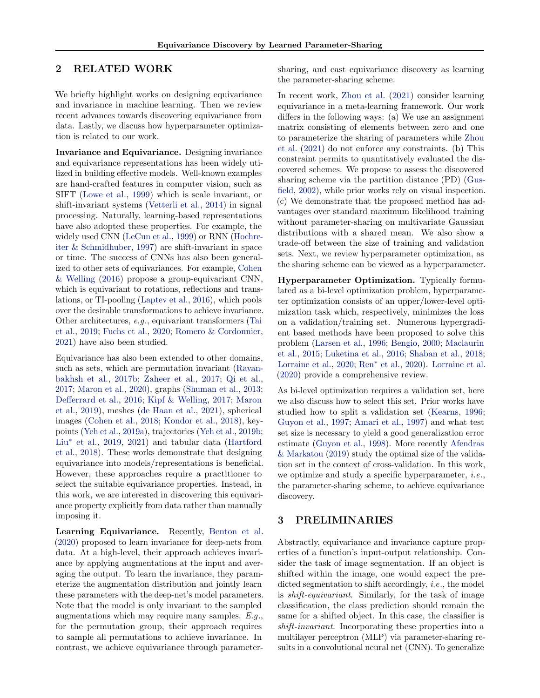# 2 RELATED WORK

We briefly highlight works on designing equivariance and invariance in machine learning. Then we review recent advances towards discovering equivariance from data. Lastly, we discuss how hyperparameter optimization is related to our work.

Invariance and Equivariance. Designing invariance and equivariance representations has been widely utilized in building effective models. Well-known examples are hand-crafted features in computer vision, such as SIFT [\(Lowe et al.,](#page-9-3) [1999\)](#page-9-3) which is scale invariant, or shift-invariant systems [\(Vetterli et al.,](#page-9-4) [2014\)](#page-9-4) in signal processing. Naturally, learning-based representations have also adopted these properties. For example, the widely used CNN [\(LeCun et al.,](#page-9-0) [1999\)](#page-9-0) or RNN [\(Hochre](#page-9-1)[iter & Schmidhuber,](#page-9-1) [1997\)](#page-9-1) are shift-invariant in space or time. The success of CNNs has also been generalized to other sets of equivariances. For example, [Cohen](#page-8-1) [& Welling](#page-8-1) [\(2016\)](#page-8-1) propose a group-equivariant CNN, which is equivariant to rotations, reflections and translations, or TI-pooling [\(Laptev et al.,](#page-9-5) [2016\)](#page-9-5), which pools over the desirable transformations to achieve invariance. Other architectures, e.g., equivariant transformers [\(Tai](#page-9-6) [et al.,](#page-9-6) [2019;](#page-9-6) [Fuchs et al.,](#page-8-2) [2020;](#page-8-2) [Romero & Cordonnier,](#page-9-7) [2021\)](#page-9-7) have also been studied.

Equivariance has also been extended to other domains, such as sets, which are permutation invariant [\(Ravan](#page-9-8)[bakhsh et al.,](#page-9-8) [2017b;](#page-9-8) [Zaheer et al.,](#page-10-0) [2017;](#page-10-0) [Qi et al.,](#page-9-9) [2017;](#page-9-9) [Maron et al.,](#page-9-10) [2020\)](#page-9-10), graphs [\(Shuman et al.,](#page-9-11) [2013;](#page-9-11) [Defferrard et al.,](#page-8-3) [2016;](#page-8-3) [Kipf & Welling,](#page-9-12) [2017;](#page-9-12) [Maron](#page-9-13) [et al.,](#page-9-13) [2019\)](#page-9-13), meshes [\(de Haan et al.,](#page-8-4) [2021\)](#page-8-4), spherical images [\(Cohen et al.,](#page-8-5) [2018;](#page-8-5) [Kondor et al.,](#page-9-14) [2018\)](#page-9-14), keypoints [\(Yeh et al.,](#page-10-1) [2019a\)](#page-10-1), trajectories [\(Yeh et al.,](#page-10-2) [2019b;](#page-10-2) Liu<sup>∗</sup> [et al.,](#page-9-15) [2019,](#page-9-15) [2021\)](#page-9-16) and tabular data [\(Hartford](#page-9-17) [et al.,](#page-9-17) [2018\)](#page-9-17). These works demonstrate that designing equivariance into models/representations is beneficial. However, these approaches require a practitioner to select the suitable equivariance properties. Instead, in this work, we are interested in discovering this equivariance property explicitly from data rather than manually imposing it.

Learning Equivariance. Recently, [Benton et al.](#page-8-6) [\(2020\)](#page-8-6) proposed to learn invariance for deep-nets from data. At a high-level, their approach achieves invariance by applying augmentations at the input and averaging the output. To learn the invariance, they parameterize the augmentation distribution and jointly learn these parameters with the deep-net's model parameters. Note that the model is only invariant to the sampled augmentations which may require many samples.  $E.g.,$ for the permutation group, their approach requires to sample all permutations to achieve invariance. In contrast, we achieve equivariance through parametersharing, and cast equivariance discovery as learning the parameter-sharing scheme.

In recent work, [Zhou et al.](#page-10-3) [\(2021\)](#page-10-3) consider learning equivariance in a meta-learning framework. Our work differs in the following ways: (a) We use an assignment matrix consisting of elements between zero and one to parameterize the sharing of parameters while [Zhou](#page-10-3) [et al.](#page-10-3) [\(2021\)](#page-10-3) do not enforce any constraints. (b) This constraint permits to quantitatively evaluated the discovered schemes. We propose to assess the discovered sharing scheme via the partition distance (PD) [\(Gus](#page-9-18)[field,](#page-9-18) [2002\)](#page-9-18), while prior works rely on visual inspection. (c) We demonstrate that the proposed method has advantages over standard maximum likelihood training without parameter-sharing on multivariate Gaussian distributions with a shared mean. We also show a trade-off between the size of training and validation sets. Next, we review hyperparameter optimization, as the sharing scheme can be viewed as a hyperparameter.

Hyperparameter Optimization. Typically formulated as a bi-level optimization problem, hyperparameter optimization consists of an upper/lower-level optimization task which, respectively, minimizes the loss on a validation/training set. Numerous hypergradient based methods have been proposed to solve this problem [\(Larsen et al.,](#page-9-19) [1996;](#page-9-19) [Bengio,](#page-8-7) [2000;](#page-8-7) [Maclaurin](#page-9-20) [et al.,](#page-9-20) [2015;](#page-9-20) [Luketina et al.,](#page-9-21) [2016;](#page-9-21) [Shaban et al.,](#page-9-22) [2018;](#page-9-22) [Lorraine et al.,](#page-9-23) [2020;](#page-9-23) Ren<sup>∗</sup> [et al.,](#page-9-24) [2020\)](#page-9-24). [Lorraine et al.](#page-9-23) [\(2020\)](#page-9-23) provide a comprehensive review.

As bi-level optimization requires a validation set, here we also discuss how to select this set. Prior works have studied how to split a validation set [\(Kearns,](#page-9-25) [1996;](#page-9-25) [Guyon et al.,](#page-9-26) [1997;](#page-9-26) [Amari et al.,](#page-8-8) [1997\)](#page-8-8) and what test set size is necessary to yield a good generalization error estimate [\(Guyon et al.,](#page-9-27) [1998\)](#page-9-27). More recently [Afendras](#page-8-9) [& Markatou](#page-8-9) [\(2019\)](#page-8-9) study the optimal size of the validation set in the context of cross-validation. In this work, we optimize and study a specific hyperparameter, i.e., the parameter-sharing scheme, to achieve equivariance discovery.

# 3 PRELIMINARIES

Abstractly, equivariance and invariance capture properties of a function's input-output relationship. Consider the task of image segmentation. If an object is shifted within the image, one would expect the predicted segmentation to shift accordingly, *i.e.*, the model is shift-equivariant. Similarly, for the task of image classification, the class prediction should remain the same for a shifted object. In this case, the classifier is shift-invariant. Incorporating these properties into a multilayer perceptron (MLP) via parameter-sharing results in a convolutional neural net (CNN). To generalize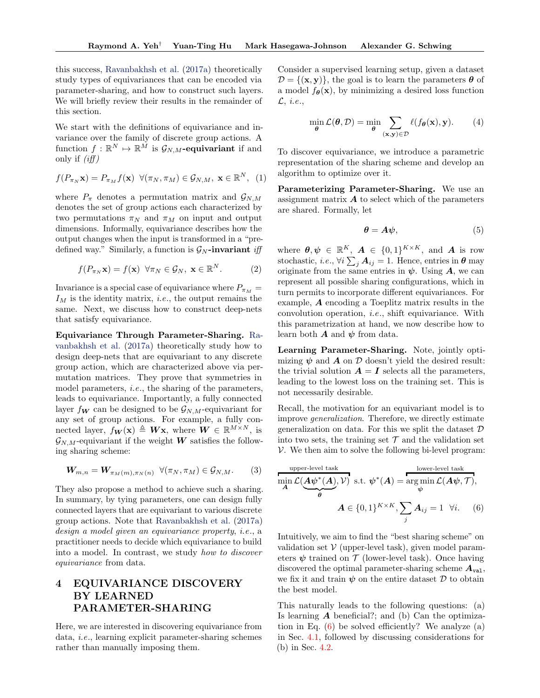this success, [Ravanbakhsh et al.](#page-9-2) [\(2017a\)](#page-9-2) theoretically study types of equivariances that can be encoded via parameter-sharing, and how to construct such layers. We will briefly review their results in the remainder of this section.

We start with the definitions of equivariance and invariance over the family of discrete group actions. A function  $f: \mathbb{R}^N \mapsto \mathbb{R}^{\tilde{M}}$  is  $\mathcal{G}_{N,M}$ -equivariant if and only if  $(iff)$ 

$$
f(P_{\pi_N}\mathbf{x}) = P_{\pi_M}f(\mathbf{x}) \ \ \forall (\pi_N, \pi_M) \in \mathcal{G}_{N,M}, \ \mathbf{x} \in \mathbb{R}^N, \ \ (1)
$$

where  $P_{\pi}$  denotes a permutation matrix and  $\mathcal{G}_{N,M}$ denotes the set of group actions each characterized by two permutations  $\pi_N$  and  $\pi_M$  on input and output dimensions. Informally, equivariance describes how the output changes when the input is transformed in a "predefined way." Similarly, a function is  $\mathcal{G}_N$ -invariant *iff* 

$$
f(P_{\pi_N}\mathbf{x}) = f(\mathbf{x}) \quad \forall \pi_N \in \mathcal{G}_N, \ \mathbf{x} \in \mathbb{R}^N. \tag{2}
$$

Invariance is a special case of equivariance where  $P_{\pi_M}$  =  $I_M$  is the identity matrix, *i.e.*, the output remains the same. Next, we discuss how to construct deep-nets that satisfy equivariance.

Equivariance Through Parameter-Sharing. [Ra](#page-9-2)[vanbakhsh et al.](#page-9-2) [\(2017a\)](#page-9-2) theoretically study how to design deep-nets that are equivariant to any discrete group action, which are characterized above via permutation matrices. They prove that symmetries in model parameters, i.e., the sharing of the parameters, leads to equivariance. Importantly, a fully connected layer  $f_{\mathbf{W}}$  can be designed to be  $\mathcal{G}_{N,M}$ -equivariant for any set of group actions. For example, a fully connected layer,  $f_{\mathbf{W}}(\mathbf{x}) \triangleq \mathbf{W}\mathbf{x}$ , where  $\mathbf{W} \in \mathbb{R}^{M \times N}$ , is  $\mathcal{G}_{N,M}$ -equivariant if the weight W satisfies the following sharing scheme:

$$
\mathbf{W}_{m,n} = \mathbf{W}_{\pi_M(m), \pi_N(n)} \ \forall (\pi_N, \pi_M) \in \mathcal{G}_{N,M}.
$$
 (3)

They also propose a method to achieve such a sharing. In summary, by tying parameters, one can design fully connected layers that are equivariant to various discrete group actions. Note that [Ravanbakhsh et al.](#page-9-2) [\(2017a\)](#page-9-2) design a model given an equivariance property, i.e., a practitioner needs to decide which equivariance to build into a model. In contrast, we study how to discover equivariance from data.

# 4 EQUIVARIANCE DISCOVERY BY LEARNED PARAMETER-SHARING

Here, we are interested in discovering equivariance from data, i.e., learning explicit parameter-sharing schemes rather than manually imposing them.

Consider a supervised learning setup, given a dataset  $\mathcal{D} = \{(\mathbf{x}, \mathbf{y})\}\$ , the goal is to learn the parameters  $\boldsymbol{\theta}$  of a model  $f_{\theta}(\mathbf{x})$ , by minimizing a desired loss function  $\mathcal{L}, i.e.,$ 

$$
\min_{\theta} \mathcal{L}(\theta, \mathcal{D}) = \min_{\theta} \sum_{(\mathbf{x}, \mathbf{y}) \in \mathcal{D}} \ell(f_{\theta}(\mathbf{x}), \mathbf{y}).
$$
 (4)

To discover equivariance, we introduce a parametric representation of the sharing scheme and develop an algorithm to optimize over it.

Parameterizing Parameter-Sharing. We use an assignment matrix  $\boldsymbol{A}$  to select which of the parameters are shared. Formally, let

$$
\boldsymbol{\theta} = \boldsymbol{A}\boldsymbol{\psi},\tag{5}
$$

where  $\boldsymbol{\theta}, \boldsymbol{\psi} \in \mathbb{R}^K$ ,  $\boldsymbol{A} \in \{0,1\}^{K \times K}$ , and  $\boldsymbol{A}$  is row stochastic, *i.e.*,  $\forall i \sum_j \mathbf{A}_{ij} = 1$ . Hence, entries in  $\boldsymbol{\theta}$  may originate from the same entries in  $\psi$ . Using A, we can represent all possible sharing configurations, which in turn permits to incorporate different equivariances. For example, A encoding a Toeplitz matrix results in the convolution operation, i.e., shift equivariance. With this parametrization at hand, we now describe how to learn both  $\boldsymbol{A}$  and  $\boldsymbol{\psi}$  from data.

Learning Parameter-Sharing. Note, jointly optimizing  $\psi$  and  $\vec{A}$  on  $\vec{D}$  doesn't yield the desired result: the trivial solution  $A = I$  selects all the parameters, leading to the lowest loss on the training set. This is not necessarily desirable.

Recall, the motivation for an equivariant model is to improve generalization. Therefore, we directly estimate generalization on data. For this we split the dataset  $\mathcal D$ into two sets, the training set  $\mathcal T$  and the validation set  $V.$  We then aim to solve the following bi-level program:

<span id="page-2-0"></span>
$$
\min_{\mathbf{A}} \mathcal{L}(\underbrace{\mathbf{A}\psi^*(\mathbf{A})}_{\theta}, V) \text{ s.t. } \psi^*(\mathbf{A}) = \underset{\psi}{\arg\min} \mathcal{L}(\mathbf{A}\psi, \mathcal{T}),
$$
\n
$$
\mathbf{A} \in \{0, 1\}^{K \times K}, \sum_{j} \mathbf{A}_{ij} = 1 \quad \forall i. \quad (6)
$$

Intuitively, we aim to find the "best sharing scheme" on validation set  $V$  (upper-level task), given model parameters  $\psi$  trained on  $\mathcal T$  (lower-level task). Once having discovered the optimal parameter-sharing scheme  $A_{val}$ , we fix it and train  $\psi$  on the entire dataset  $\mathcal D$  to obtain the best model.

This naturally leads to the following questions: (a) Is learning  $\boldsymbol{A}$  beneficial?; and (b) Can the optimization in Eq.  $(6)$  be solved efficiently? We analyze  $(a)$ in Sec. [4.1,](#page-3-0) followed by discussing considerations for (b) in Sec. [4.2.](#page-4-0)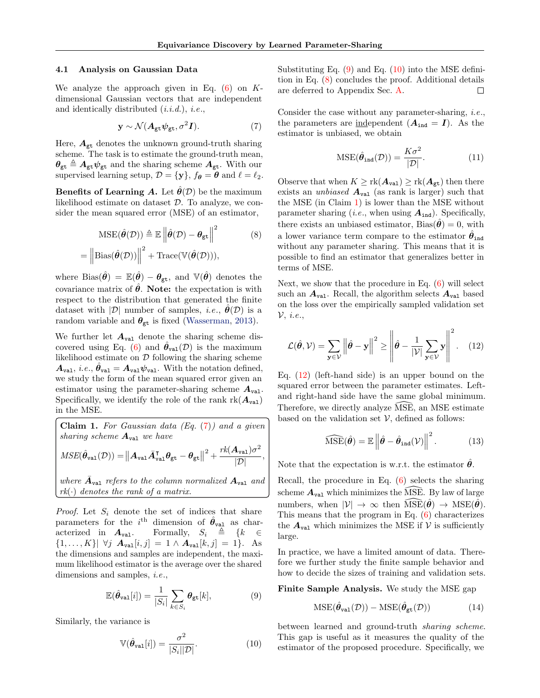#### <span id="page-3-0"></span>4.1 Analysis on Gaussian Data

We analyze the approach given in Eq.  $(6)$  on Kdimensional Gaussian vectors that are independent and identically distributed  $(i.i.d.), i.e.,$ 

<span id="page-3-1"></span>
$$
\mathbf{y} \sim \mathcal{N}(\mathbf{A}_{\text{gt}} \psi_{\text{gt}}, \sigma^2 \mathbf{I}). \tag{7}
$$

Here,  $A_{gt}$  denotes the unknown ground-truth sharing scheme. The task is to estimate the ground-truth mean,  $\theta_{gt} \triangleq A_{gt}\psi_{gt}$  and the sharing scheme  $A_{gt}$ . With our supervised learning setup,  $\mathcal{D} = \{y\}$ ,  $f_{\theta} = \mathcal{D}$  and  $\ell = \ell_2$ .

**Benefits of Learning A.** Let  $\theta(\mathcal{D})$  be the maximum likelihood estimate on dataset  $D$ . To analyze, we consider the mean squared error (MSE) of an estimator,

<span id="page-3-4"></span>
$$
MSE(\hat{\theta}(\mathcal{D})) \triangleq \mathbb{E} \left\| \hat{\theta}(\mathcal{D}) - \theta_{\text{gt}} \right\|^2 \qquad (8)
$$

$$
= \left\| \text{Bias}(\hat{\theta}(\mathcal{D})) \right\|^2 + \text{Trace}(\mathbb{V}(\hat{\theta}(\mathcal{D}))),
$$

where Bias $(\hat{\theta}) = \mathbb{E}(\hat{\theta}) - \theta_{gt}$ , and  $\mathbb{V}(\hat{\theta})$  denotes the covariance matrix of  $\hat{\theta}$ . Note: the expectation is with respect to the distribution that generated the finite dataset with  $|\mathcal{D}|$  number of samples, *i.e.*,  $\boldsymbol{\theta}(\mathcal{D})$  is a random variable and  $\theta_{gt}$  is fixed [\(Wasserman,](#page-9-28) [2013\)](#page-9-28).

We further let  $A_{\text{val}}$  denote the sharing scheme dis-covered using Eq. [\(6\)](#page-2-0) and  $\hat{\theta}_{val}(\mathcal{D})$  is the maximum likelihood estimate on  $\mathcal D$  following the sharing scheme  $A_{\text{val}}$ , *i.e.*,  $\hat{\theta}_{\text{val}} = A_{\text{val}} \psi_{\text{val}}$ . With the notation defined, we study the form of the mean squared error given an estimator using the parameter-sharing scheme  $A_{\text{val}}$ . Specifically, we identify the role of the rank  $rk(A_{val})$ in the MSE.

<span id="page-3-5"></span>Claim 1. For Gaussian data  $(Eq. (7))$  $(Eq. (7))$  $(Eq. (7))$  and a given sharing scheme  $A_{val}$  we have  $\textit{MSE}(\hat{\theta}_\mathtt{val}(\mathcal{D})) = ||\bm{A}_\mathtt{val}\bar{\bm{A}}_\mathtt{val}^\intercal\bm{\theta}_\mathtt{gt} - \bm{\theta}_\mathtt{gt}||$  $^{2}+\frac{rk(\boldsymbol{A}_{\text{val}})\sigma^{2}}{|\boldsymbol{\mathcal{D}}|}$  $\frac{1}{|\mathcal{D}|}$ ,

where  $\bar{A}_{\text{val}}$  refers to the column normalized  $A_{\text{val}}$  and  $rk(\cdot)$  denotes the rank of a matrix.

*Proof.* Let  $S_i$  denote the set of indices that share parameters for the  $i^{\text{th}}$  dimension of  $\hat{\theta}_{\text{val}}$  as characterized in  $A_{\text{val}}$ . Formally,  $S_i \triangleq \{k \in \mathbb{R} \}$  $\{1, \ldots, K\}$   $\forall j \; A_{\text{val}}[i, j] = 1 \land A_{\text{val}}[k, j] = 1$ . As the dimensions and samples are independent, the maximum likelihood estimator is the average over the shared dimensions and samples, *i.e.*,

<span id="page-3-2"></span>
$$
\mathbb{E}(\hat{\theta}_{\text{val}}[i]) = \frac{1}{|S_i|} \sum_{k \in S_i} \theta_{\text{gt}}[k],\tag{9}
$$

Similarly, the variance is

<span id="page-3-3"></span>
$$
\mathbb{V}(\hat{\theta}_{\text{val}}[i]) = \frac{\sigma^2}{|S_i||\mathcal{D}|}.
$$
\n(10)

Substituting Eq.  $(9)$  and Eq.  $(10)$  into the MSE definition in Eq. [\(8\)](#page-3-4) concludes the proof. Additional details are deferred to Appendix Sec. [A.](#page-11-0) П

Consider the case without any parameter-sharing, i.e., the parameters are independent  $(A_{ind} = I)$ . As the estimator is unbiased, we obtain

$$
\text{MSE}(\hat{\theta}_{\text{ind}}(\mathcal{D})) = \frac{K\sigma^2}{|\mathcal{D}|}.
$$
 (11)

Observe that when  $K \geq \text{rk}(\mathbf{A}_{\text{val}}) \geq \text{rk}(\mathbf{A}_{\text{gt}})$  then there exists an *unbiased*  $A_{\text{val}}$  (as rank is larger) such that the MSE (in Claim [1\)](#page-3-5) is lower than the MSE without parameter sharing (*i.e.*, when using  $A_{ind}$ ). Specifically, there exists an unbiased estimator,  $Bias(\hat{\theta}) = 0$ , with a lower variance term compare to the estimator  $\hat{\theta}_{ind}$ without any parameter sharing. This means that it is possible to find an estimator that generalizes better in terms of MSE.

Next, we show that the procedure in Eq. [\(6\)](#page-2-0) will select such an  $A_{\text{val}}$ . Recall, the algorithm selects  $A_{\text{val}}$  based on the loss over the empirically sampled validation set  $\mathcal{V}, i.e.,$ 

<span id="page-3-6"></span>
$$
\mathcal{L}(\hat{\theta}, \mathcal{V}) = \sum_{\mathbf{y} \in \mathcal{V}} \left\| \hat{\theta} - \mathbf{y} \right\|^2 \ge \left\| \hat{\theta} - \frac{1}{|\mathcal{V}|} \sum_{\mathbf{y} \in \mathcal{V}} \mathbf{y} \right\|^2. \quad (12)
$$

Eq.  $(12)$  (left-hand side) is an upper bound on the squared error between the parameter estimates. Leftand right-hand side have the same global minimum. Therefore, we directly analyze MSE, an MSE estimate based on the validation set  $V$ , defined as follows:

$$
\widehat{\mathrm{MSE}}(\hat{\boldsymbol{\theta}}) = \mathbb{E} \left\| \hat{\boldsymbol{\theta}} - \hat{\boldsymbol{\theta}}_{\mathrm{ind}}(\mathcal{V}) \right\|^2.
$$
 (13)

Note that the expectation is w.r.t. the estimator  $\hat{\theta}$ .

Recall, the procedure in Eq. [\(6\)](#page-2-0) selects the sharing scheme  $A_{\text{val}}$  which minimizes the MSE. By law of large numbers, when  $|\mathcal{V}| \to \infty$  then  $\text{MSE}(\hat{\theta}) \to \text{MSE}(\hat{\theta})$ . This means that the program in Eq. [\(6\)](#page-2-0) characterizes the  $A_{\text{val}}$  which minimizes the MSE if V is sufficiently large.

In practice, we have a limited amount of data. Therefore we further study the finite sample behavior and how to decide the sizes of training and validation sets.

Finite Sample Analysis. We study the MSE gap

<span id="page-3-7"></span>
$$
\mathrm{MSE}(\hat{\theta}_{\mathrm{val}}(\mathcal{D})) - \mathrm{MSE}(\hat{\theta}_{\mathrm{gt}}(\mathcal{D})) \tag{14}
$$

between learned and ground-truth sharing scheme. This gap is useful as it measures the quality of the estimator of the proposed procedure. Specifically, we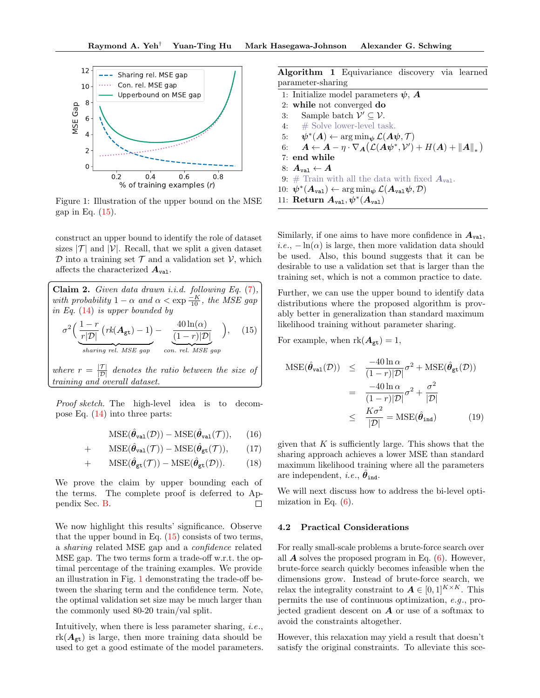

<span id="page-4-2"></span>Figure 1: Illustration of the upper bound on the MSE gap in Eq. [\(15\)](#page-4-1).

construct an upper bound to identify the role of dataset sizes  $|\mathcal{T}|$  and  $|\mathcal{V}|$ . Recall, that we split a given dataset  $\mathcal D$  into a training set  $\mathcal T$  and a validation set  $\mathcal V$ , which affects the characterized  $A_{\text{val}}$ .

<span id="page-4-1"></span>Claim 2. Given data drawn *i.i.d.* following Eq.  $(7)$ , with probability  $1 - \alpha$  and  $\alpha < \exp{\frac{-K}{10}}$ , the MSE gap in Eq. [\(14\)](#page-3-7) is upper bounded by  $\sigma^2\Big(\frac{1-r}{\sqrt{2}}\Big)$  $\frac{1}{r|\mathcal{D}|}\left(rk(\boldsymbol{A}_{\text{gt}})-1\right)$ sharing rel. MSE gap  $-\frac{40 \ln(\alpha)}{4}$  $(1 - r)|\mathcal{D}|$ con. rel. MSE gap  $\setminus$  $(15)$ where  $r = \frac{|{\mathcal{T}}|}{|{\mathcal{D}}|}$  denotes the ratio between the size of training and overall dataset.

Proof sketch. The high-level idea is to decompose Eq. [\(14\)](#page-3-7) into three parts:

$$
\mathrm{MSE}(\hat{\theta}_{\mathrm{val}}(\mathcal{D})) - \mathrm{MSE}(\hat{\theta}_{\mathrm{val}}(\mathcal{T})), \quad (16)
$$

$$
+\qquad \mathrm{MSE}(\hat{\boldsymbol{\theta}}_{\mathrm{val}}(\mathcal{T}))-\mathrm{MSE}(\hat{\boldsymbol{\theta}}_{\mathrm{gt}}(\mathcal{T})),\qquad(17)
$$

+ 
$$
MSE(\hat{\theta}_{gt}(\mathcal{T})) - MSE(\hat{\theta}_{gt}(\mathcal{D}))
$$
. (18)

We prove the claim by upper bounding each of the terms. The complete proof is deferred to Appendix Sec. [B.](#page-12-0)  $\Box$ 

We now highlight this results' significance. Observe that the upper bound in Eq.  $(15)$  consists of two terms, a sharing related MSE gap and a confidence related MSE gap. The two terms form a trade-off w.r.t. the optimal percentage of the training examples. We provide an illustration in Fig. [1](#page-4-2) demonstrating the trade-off between the sharing term and the confidence term. Note, the optimal validation set size may be much larger than the commonly used 80-20 train/val split.

Intuitively, when there is less parameter sharing, i.e.,  $rk(\mathbf{A}_{gt})$  is large, then more training data should be used to get a good estimate of the model parameters. <span id="page-4-3"></span>Algorithm 1 Equivariance discovery via learned parameter-sharing

|    | 1: Initialize model parameters $\psi$ , A                                                                                                               |
|----|---------------------------------------------------------------------------------------------------------------------------------------------------------|
|    | 2: while not converged do                                                                                                                               |
| 3: | Sample batch $\mathcal{V}' \subseteq \mathcal{V}$ .                                                                                                     |
|    | 4: $\#$ Solve lower-level task.                                                                                                                         |
|    | 5: $\psi^*(A) \leftarrow \arg\min_{\psi} \mathcal{L}(A\psi, \mathcal{T})$                                                                               |
|    | 6: $\mathbf{A} \leftarrow \mathbf{A} - \eta \cdot \nabla_{\mathbf{A}} (\mathcal{L}(\mathbf{A}\psi^*, \mathcal{V}') + H(\mathbf{A}) +   \mathbf{A}  _*)$ |
|    | $7:$ end while                                                                                                                                          |
|    | 8: $A_{\text{val}} \leftarrow A$                                                                                                                        |
|    | 9: # Train with all the data with fixed $A_{\text{val}}$ .                                                                                              |
|    | 10: $\psi^*(A_{\text{val}}) \leftarrow \arg\min_{\psi} \mathcal{L}(A_{\text{val}}\psi, \mathcal{D})$                                                    |
|    | 11: Return $A_{val}, \psi^*(A_{val})$                                                                                                                   |
|    |                                                                                                                                                         |

Similarly, if one aims to have more confidence in  $A_{\text{val}}$ , i.e.,  $-\ln(\alpha)$  is large, then more validation data should be used. Also, this bound suggests that it can be desirable to use a validation set that is larger than the training set, which is not a common practice to date.

Further, we can use the upper bound to identify data distributions where the proposed algorithm is provably better in generalization than standard maximum likelihood training without parameter sharing.

For example, when  $rk(A_{gt}) = 1$ ,

$$
MSE(\hat{\theta}_{\text{val}}(\mathcal{D})) \leq \frac{-40 \ln \alpha}{(1-r)|\mathcal{D}|} \sigma^2 + MSE(\hat{\theta}_{\text{gt}}(\mathcal{D}))
$$

$$
= \frac{-40 \ln \alpha}{(1-r)|\mathcal{D}|} \sigma^2 + \frac{\sigma^2}{|\mathcal{D}|}
$$

$$
\leq \frac{K\sigma^2}{|\mathcal{D}|} = MSE(\hat{\theta}_{\text{ind}})
$$
(19)

given that  $K$  is sufficiently large. This shows that the sharing approach achieves a lower MSE than standard maximum likelihood training where all the parameters are independent, *i.e.*,  $\hat{\theta}_{ind}$ .

We will next discuss how to address the bi-level optimization in Eq.  $(6)$ .

### <span id="page-4-0"></span>4.2 Practical Considerations

For really small-scale problems a brute-force search over all  $\vec{A}$  solves the proposed program in Eq. [\(6\)](#page-2-0). However, brute-force search quickly becomes infeasible when the dimensions grow. Instead of brute-force search, we relax the integrality constraint to  $A \in [0,1]^{K \times K}$ . This permits the use of continuous optimization, e.g., projected gradient descent on  $A$  or use of a softmax to avoid the constraints altogether.

However, this relaxation may yield a result that doesn't satisfy the original constraints. To alleviate this sce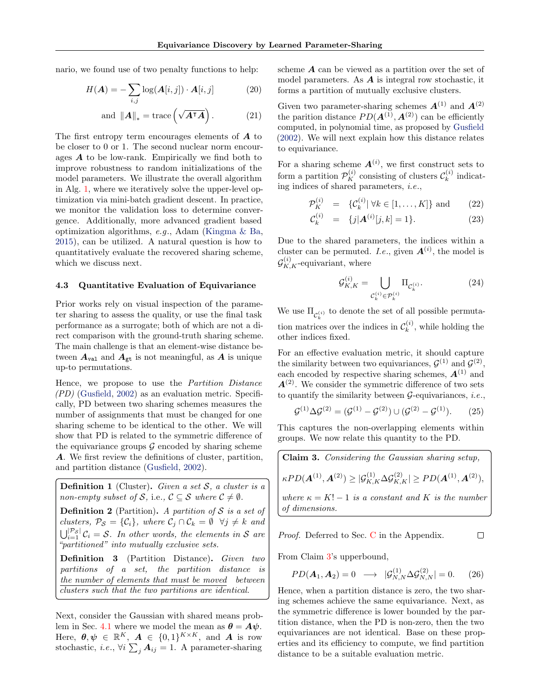nario, we found use of two penalty functions to help:

$$
H(\boldsymbol{A}) = -\sum_{i,j} \log(\boldsymbol{A}[i,j]) \cdot \boldsymbol{A}[i,j] \tag{20}
$$

and 
$$
||A||_* = \text{trace}\left(\sqrt{A^{\intercal}A}\right)
$$
. (21)

The first entropy term encourages elements of  $\boldsymbol{A}$  to be closer to 0 or 1. The second nuclear norm encourages  $\boldsymbol{A}$  to be low-rank. Empirically we find both to improve robustness to random initializations of the model parameters. We illustrate the overall algorithm in Alg. [1,](#page-4-3) where we iteratively solve the upper-level optimization via mini-batch gradient descent. In practice, we monitor the validation loss to determine convergence. Additionally, more advanced gradient based optimization algorithms, e.g., Adam [\(Kingma & Ba,](#page-9-29) [2015\)](#page-9-29), can be utilized. A natural question is how to quantitatively evaluate the recovered sharing scheme, which we discuss next.

### <span id="page-5-1"></span>4.3 Quantitative Evaluation of Equivariance

Prior works rely on visual inspection of the parameter sharing to assess the quality, or use the final task performance as a surrogate; both of which are not a direct comparison with the ground-truth sharing scheme. The main challenge is that an element-wise distance between  $A_{\text{val}}$  and  $A_{\text{gt}}$  is not meaningful, as A is unique up-to permutations.

Hence, we propose to use the Partition Distance  $(PD)$  [\(Gusfield,](#page-9-18) [2002\)](#page-9-18) as an evaluation metric. Specifically, PD between two sharing schemes measures the number of assignments that must be changed for one sharing scheme to be identical to the other. We will show that PD is related to the symmetric difference of the equivariance groups  $\mathcal G$  encoded by sharing scheme A. We first review the definitions of cluster, partition, and partition distance [\(Gusfield,](#page-9-18) [2002\)](#page-9-18).

**Definition 1** (Cluster). Given a set  $S$ , a cluster is a non-empty subset of S, i.e.,  $C \subseteq S$  where  $C \neq \emptyset$ .

**Definition 2** (Partition). A partition of  $S$  is a set of clusters,  $\mathcal{P}_{\mathcal{S}} = \{\mathcal{C}_i\}$ , where  $\mathcal{C}_j \cap \mathcal{C}_k = \emptyset \ \ \forall j \neq k$  and  $\bigcup_{i=1}^{|\mathcal{P}_{\mathcal{S}}|} \mathcal{C}_i = \mathcal{S}.$  In other words, the elements in S are "partitioned" into mutually exclusive sets.

Definition 3 (Partition Distance). Given two partitions of a set, the partition distance is the number of elements that must be moved between clusters such that the two partitions are identical.

Next, consider the Gaussian with shared means prob-lem in Sec. [4.1](#page-3-0) where we model the mean as  $\theta = A\psi$ . Here,  $\boldsymbol{\theta}, \boldsymbol{\psi} \in \mathbb{R}^K$ ,  $\boldsymbol{A} \in \{0,1\}^{K \times K}$ , and  $\boldsymbol{A}$  is row stochastic, *i.e.*,  $\forall i \sum_j \mathbf{A}_{ij} = 1$ . A parameter-sharing

scheme A can be viewed as a partition over the set of model parameters. As A is integral row stochastic, it forms a partition of mutually exclusive clusters.

Given two parameter-sharing schemes  $\boldsymbol{A}^{(1)}$  and  $\boldsymbol{A}^{(2)}$ the parition distance  $PD(\mathbf{A}^{(1)}, \mathbf{A}^{(2)})$  can be efficiently computed, in polynomial time, as proposed by [Gusfield](#page-9-18) [\(2002\)](#page-9-18). We will next explain how this distance relates to equivariance.

For a sharing scheme  $A^{(i)}$ , we first construct sets to form a partition  $\mathcal{P}_K^{(i)}$  consisting of clusters  $\mathcal{C}_k^{(i)}$  $\kappa^{(i)}$  indicating indices of shared parameters, i.e.,

$$
\mathcal{P}_K^{(i)} = \{ \mathcal{C}_k^{(i)} | \forall k \in [1, \dots, K] \} \text{ and } (22)
$$

$$
\mathcal{C}_k^{(i)} = \{j | \mathbf{A}^{(i)}[j,k] = 1\}.
$$
 (23)

Due to the shared parameters, the indices within a cluster can be permuted. *I.e.*, given  $A^{(i)}$ , the model is  $\mathcal{G}_{K,K}^{(i)}$ -equivariant, where

$$
\mathcal{G}_{K,K}^{(i)} = \bigcup_{\mathcal{C}_k^{(i)} \in \mathcal{P}_k^{(i)}} \Pi_{\mathcal{C}_k^{(i)}}.
$$
\n(24)

We use  $\Pi_{\mathcal{C}_k^{(i)}}$  to denote the set of all possible permutation matrices over the indices in  $\mathcal{C}_k^{(i)}$  $\mathbf{k}^{(i)}$ , while holding the other indices fixed.

For an effective evaluation metric, it should capture the similarity between two equivariances,  $\mathcal{G}^{(1)}$  and  $\mathcal{G}^{(2)}$ , each encoded by respective sharing schemes,  $\mathbf{A}^{(1)}$  and  $A^{(2)}$ . We consider the symmetric difference of two sets to quantify the similarity between  $\mathcal{G}$ -equivariances, *i.e.*,

$$
\mathcal{G}^{(1)} \Delta \mathcal{G}^{(2)} = (\mathcal{G}^{(1)} - \mathcal{G}^{(2)}) \cup (\mathcal{G}^{(2)} - \mathcal{G}^{(1)}). \tag{25}
$$

This captures the non-overlapping elements within groups. We now relate this quantity to the PD.

<span id="page-5-0"></span>**Claim 3.** Considering the Gaussian sharing setup,  
\n
$$
\kappa PD(\mathbf{A}^{(1)}, \mathbf{A}^{(2)}) \geq |\mathcal{G}_{K,K}^{(1)} \Delta \mathcal{G}_{K,K}^{(2)}| \geq PD(\mathbf{A}^{(1)}, \mathbf{A}^{(2)}),
$$
\nwhere  $\kappa = K! - 1$  is a constant and K is the number of dimensions.

Proof. Deferred to Sec. [C](#page-13-0) in the Appendix.  $\Box$ 

From Claim [3'](#page-5-0)s upperbound,

$$
PD(A_1, A_2) = 0 \longrightarrow |G_{N,N}^{(1)} \Delta G_{N,N}^{(2)}| = 0.
$$
 (26)

Hence, when a partition distance is zero, the two sharing schemes achieve the same equivariance. Next, as the symmetric difference is lower bounded by the partition distance, when the PD is non-zero, then the two equivariances are not identical. Base on these properties and its efficiency to compute, we find partition distance to be a suitable evaluation metric.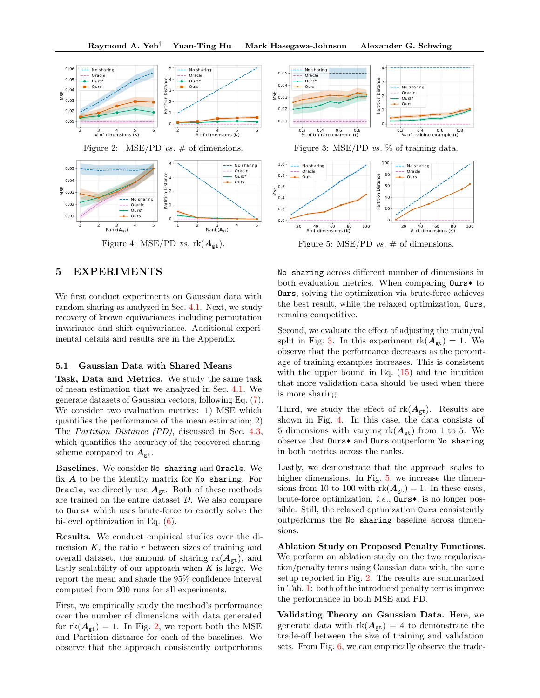Raymond A. Yeh† Yuan-Ting Hu Mark Hasegawa-Johnson Alexander G. Schwing



<span id="page-6-2"></span><span id="page-6-0"></span>Figure 4: MSE/PD vs.  $rk(A_{gt})$ .

# 5 EXPERIMENTS

We first conduct experiments on Gaussian data with random sharing as analyzed in Sec. [4.1.](#page-3-0) Next, we study recovery of known equivariances including permutation invariance and shift equivariance. Additional experimental details and results are in the Appendix.

### <span id="page-6-4"></span>5.1 Gaussian Data with Shared Means

Task, Data and Metrics. We study the same task of mean estimation that we analyzed in Sec. [4.1.](#page-3-0) We generate datasets of Gaussian vectors, following Eq. [\(7\)](#page-3-1). We consider two evaluation metrics: 1) MSE which quantifies the performance of the mean estimation; 2) The Partition Distance (PD), discussed in Sec. [4.3,](#page-5-1) which quantifies the accuracy of the recovered sharingscheme compared to  $A_{\text{gt}}$ .

Baselines. We consider No sharing and Oracle. We fix  $A$  to be the identity matrix for No sharing. For Oracle, we directly use  $A_{gt}$ . Both of these methods are trained on the entire dataset D. We also compare to Ours\* which uses brute-force to exactly solve the bi-level optimization in Eq. [\(6\)](#page-2-0).

Results. We conduct empirical studies over the dimension  $K$ , the ratio  $r$  between sizes of training and overall dataset, the amount of sharing  $rk(A_{gt})$ , and lastly scalability of our approach when  $K$  is large. We report the mean and shade the 95% confidence interval computed from 200 runs for all experiments.

First, we empirically study the method's performance over the number of dimensions with data generated for  $rk(A_{gt}) = 1$ . In Fig. [2,](#page-6-0) we report both the MSE and Partition distance for each of the baselines. We observe that the approach consistently outperforms

<span id="page-6-1"></span>

<span id="page-6-3"></span>Figure 5: MSE/PD  $vs. \#$  of dimensions.

No sharing across different number of dimensions in both evaluation metrics. When comparing Ours\* to Ours, solving the optimization via brute-force achieves the best result, while the relaxed optimization, Ours, remains competitive.

Second, we evaluate the effect of adjusting the train/val split in Fig. [3.](#page-6-1) In this experiment  $rk(A_{gt}) = 1$ . We observe that the performance decreases as the percentage of training examples increases. This is consistent with the upper bound in Eq.  $(15)$  and the intuition that more validation data should be used when there is more sharing.

Third, we study the effect of  $rk(A_{gt})$ . Results are shown in Fig. [4.](#page-6-2) In this case, the data consists of 5 dimensions with varying  $rk(A_{gt})$  from 1 to 5. We observe that Ours\* and Ours outperform No sharing in both metrics across the ranks.

Lastly, we demonstrate that the approach scales to higher dimensions. In Fig. [5,](#page-6-3) we increase the dimensions from 10 to 100 with  $rk(A_{gt}) = 1$ . In these cases, brute-force optimization, i.e., Ours\*, is no longer possible. Still, the relaxed optimization Ours consistently outperforms the No sharing baseline across dimensions.

Ablation Study on Proposed Penalty Functions. We perform an ablation study on the two regularization/penalty terms using Gaussian data with, the same setup reported in Fig. [2.](#page-6-0) The results are summarized in Tab. [1:](#page-7-0) both of the introduced penalty terms improve the performance in both MSE and PD.

Validating Theory on Gaussian Data. Here, we generate data with  $rk(A_{gt}) = 4$  to demonstrate the trade-off between the size of training and validation sets. From Fig. [6,](#page-7-1) we can empirically observe the trade-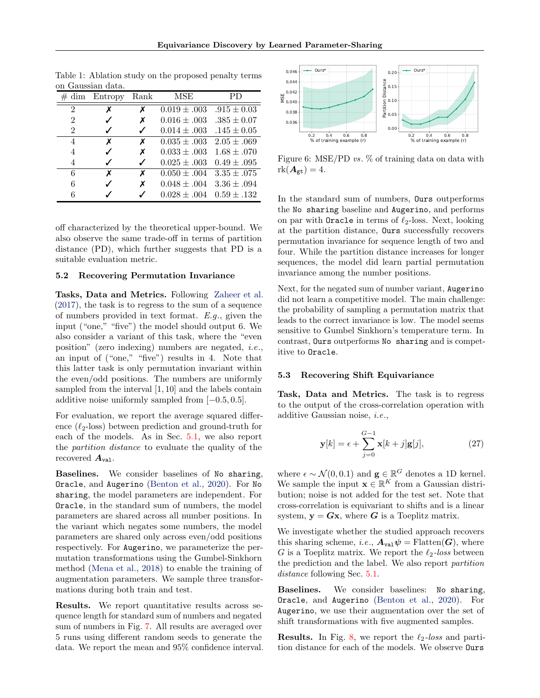| aaassiai aava. |                   |      |                  |                 |  |  |
|----------------|-------------------|------|------------------|-----------------|--|--|
|                | $\# \dim$ Entropy | Rank | MSE              | PD              |  |  |
| $\overline{2}$ | x                 | х    | $0.019 \pm .003$ | $.915 \pm 0.03$ |  |  |
| $\overline{2}$ |                   | Х    | $0.016 \pm .003$ | $.385 \pm 0.07$ |  |  |
| $\overline{2}$ |                   |      | $0.014 \pm .003$ | $.145 \pm 0.05$ |  |  |
| 4              | x                 | x    | $0.035 \pm .003$ | $2.05 \pm .069$ |  |  |
| 4              |                   | Х    | $0.033 \pm .003$ | $1.68 \pm .070$ |  |  |
| 4              |                   | ✓    | $0.025 \pm .003$ | $0.49 \pm .095$ |  |  |
| 6              | x                 | x    | $0.050 \pm .004$ | $3.35 \pm .075$ |  |  |
| 6              |                   | X    | $0.048 \pm .004$ | $3.36 \pm .094$ |  |  |
| 6              |                   |      | $0.028 \pm .004$ | $0.59 \pm .132$ |  |  |
|                |                   |      |                  |                 |  |  |

<span id="page-7-0"></span>Table 1: Ablation study on the proposed penalty terms on Gaussian data.

off characterized by the theoretical upper-bound. We also observe the same trade-off in terms of partition distance (PD), which further suggests that PD is a suitable evaluation metric.

## 5.2 Recovering Permutation Invariance

Tasks, Data and Metrics. Following [Zaheer et al.](#page-10-0) [\(2017\)](#page-10-0), the task is to regress to the sum of a sequence of numbers provided in text format.  $E.g.,$  given the input ("one," "five") the model should output 6. We also consider a variant of this task, where the "even position" (zero indexing) numbers are negated, i.e., an input of ("one," "five") results in 4. Note that this latter task is only permutation invariant within the even/odd positions. The numbers are uniformly sampled from the interval [1, 10] and the labels contain additive noise uniformly sampled from [−0.5, 0.5].

For evaluation, we report the average squared difference  $(\ell_2$ -loss) between prediction and ground-truth for each of the models. As in Sec. [5.1,](#page-6-4) we also report the partition distance to evaluate the quality of the recovered  $A_{\text{val}}$ .

Baselines. We consider baselines of No sharing, Oracle, and Augerino [\(Benton et al.,](#page-8-6) [2020\)](#page-8-6). For No sharing, the model parameters are independent. For Oracle, in the standard sum of numbers, the model parameters are shared across all number positions. In the variant which negates some numbers, the model parameters are shared only across even/odd positions respectively. For Augerino, we parameterize the permutation transformations using the Gumbel-Sinkhorn method [\(Mena et al.,](#page-9-30) [2018\)](#page-9-30) to enable the training of augmentation parameters. We sample three transformations during both train and test.

Results. We report quantitative results across sequence length for standard sum of numbers and negated sum of numbers in Fig. [7.](#page-8-10) All results are averaged over 5 runs using different random seeds to generate the data. We report the mean and 95% confidence interval.



<span id="page-7-1"></span>Figure 6: MSE/PD vs. % of training data on data with  $rk(\mathbf{A}_{\text{gt}})=4.$ 

In the standard sum of numbers, Ours outperforms the No sharing baseline and Augerino, and performs on par with **Oracle** in terms of  $\ell_2$ -loss. Next, looking at the partition distance, Ours successfully recovers permutation invariance for sequence length of two and four. While the partition distance increases for longer sequences, the model did learn partial permutation invariance among the number positions.

Next, for the negated sum of number variant, Augerino did not learn a competitive model. The main challenge: the probability of sampling a permutation matrix that leads to the correct invariance is low. The model seems sensitive to Gumbel Sinkhorn's temperature term. In contrast, Ours outperforms No sharing and is competitive to Oracle.

### 5.3 Recovering Shift Equivariance

Task, Data and Metrics. The task is to regress to the output of the cross-correlation operation with additive Gaussian noise, i.e.,

$$
\mathbf{y}[k] = \epsilon + \sum_{j=0}^{G-1} \mathbf{x}[k+j] \mathbf{g}[j],\tag{27}
$$

where  $\epsilon \sim \mathcal{N}(0, 0.1)$  and  $\mathbf{g} \in \mathbb{R}^G$  denotes a 1D kernel. We sample the input  $\mathbf{x} \in \mathbb{R}^K$  from a Gaussian distribution; noise is not added for the test set. Note that cross-correlation is equivariant to shifts and is a linear system,  $y = Gx$ , where G is a Toeplitz matrix.

We investigate whether the studied approach recovers this sharing scheme, *i.e.*,  $A_{\text{val}}\psi = \text{Flatten}(G)$ , where G is a Toeplitz matrix. We report the  $\ell_2$ -loss between the prediction and the label. We also report partition distance following Sec. [5.1.](#page-6-4)

Baselines. We consider baselines: No sharing, Oracle, and Augerino [\(Benton et al.,](#page-8-6) [2020\)](#page-8-6). For Augerino, we use their augmentation over the set of shift transformations with five augmented samples.

**Results.** In Fig. [8,](#page-8-11) we report the  $\ell_2$ -loss and partition distance for each of the models. We observe Ours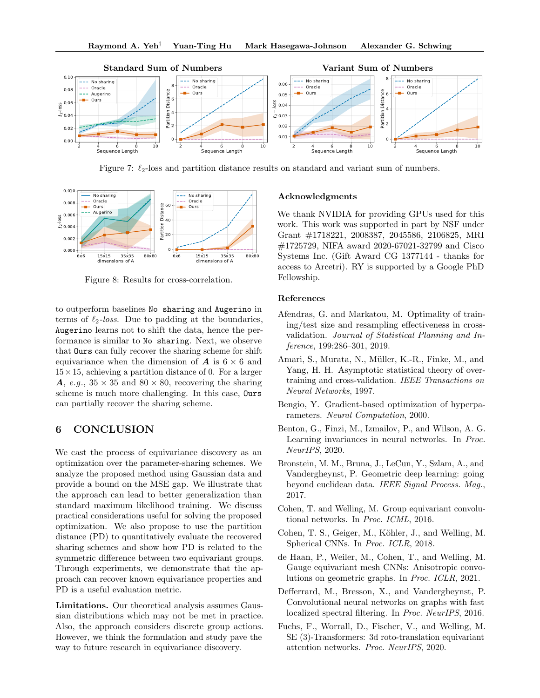

<span id="page-8-10"></span>Figure 7:  $\ell_2$ -loss and partition distance results on standard and variant sum of numbers.



<span id="page-8-11"></span>Figure 8: Results for cross-correlation.

to outperform baselines No sharing and Augerino in terms of  $\ell_2$ -loss. Due to padding at the boundaries, Augerino learns not to shift the data, hence the performance is similar to No sharing. Next, we observe that Ours can fully recover the sharing scheme for shift equivariance when the dimension of  $\boldsymbol{A}$  is  $6 \times 6$  and  $15 \times 15$ , achieving a partition distance of 0. For a larger A, e.g.,  $35 \times 35$  and  $80 \times 80$ , recovering the sharing scheme is much more challenging. In this case, Ours can partially recover the sharing scheme.

## 6 CONCLUSION

We cast the process of equivariance discovery as an optimization over the parameter-sharing schemes. We analyze the proposed method using Gaussian data and provide a bound on the MSE gap. We illustrate that the approach can lead to better generalization than standard maximum likelihood training. We discuss practical considerations useful for solving the proposed optimization. We also propose to use the partition distance (PD) to quantitatively evaluate the recovered sharing schemes and show how PD is related to the symmetric difference between two equivariant groups. Through experiments, we demonstrate that the approach can recover known equivariance properties and PD is a useful evaluation metric.

Limitations. Our theoretical analysis assumes Gaussian distributions which may not be met in practice. Also, the approach considers discrete group actions. However, we think the formulation and study pave the way to future research in equivariance discovery.

### Acknowledgments

We thank NVIDIA for providing GPUs used for this work. This work was supported in part by NSF under Grant #1718221, 2008387, 2045586, 2106825, MRI #1725729, NIFA award 2020-67021-32799 and Cisco Systems Inc. (Gift Award CG 1377144 - thanks for access to Arcetri). RY is supported by a Google PhD Fellowship.

### References

- <span id="page-8-9"></span>Afendras, G. and Markatou, M. Optimality of training/test size and resampling effectiveness in crossvalidation. Journal of Statistical Planning and Inference, 199:286–301, 2019.
- <span id="page-8-8"></span>Amari, S., Murata, N., Müller, K.-R., Finke, M., and Yang, H. H. Asymptotic statistical theory of overtraining and cross-validation. IEEE Transactions on Neural Networks, 1997.
- <span id="page-8-7"></span>Bengio, Y. Gradient-based optimization of hyperparameters. Neural Computation, 2000.
- <span id="page-8-6"></span>Benton, G., Finzi, M., Izmailov, P., and Wilson, A. G. Learning invariances in neural networks. In Proc. NeurIPS, 2020.
- <span id="page-8-0"></span>Bronstein, M. M., Bruna, J., LeCun, Y., Szlam, A., and Vandergheynst, P. Geometric deep learning: going beyond euclidean data. IEEE Signal Process. Mag., 2017.
- <span id="page-8-1"></span>Cohen, T. and Welling, M. Group equivariant convolutional networks. In Proc. ICML, 2016.
- <span id="page-8-5"></span>Cohen, T. S., Geiger, M., Köhler, J., and Welling, M. Spherical CNNs. In Proc. ICLR, 2018.
- <span id="page-8-4"></span>de Haan, P., Weiler, M., Cohen, T., and Welling, M. Gauge equivariant mesh CNNs: Anisotropic convolutions on geometric graphs. In Proc. ICLR, 2021.
- <span id="page-8-3"></span>Defferrard, M., Bresson, X., and Vandergheynst, P. Convolutional neural networks on graphs with fast localized spectral filtering. In Proc. NeurIPS, 2016.
- <span id="page-8-2"></span>Fuchs, F., Worrall, D., Fischer, V., and Welling, M. SE (3)-Transformers: 3d roto-translation equivariant attention networks. Proc. NeurIPS, 2020.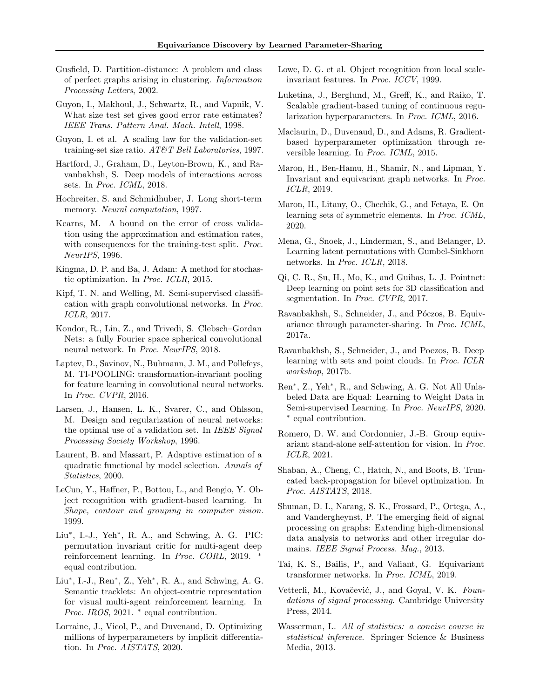- <span id="page-9-18"></span>Gusfield, D. Partition-distance: A problem and class of perfect graphs arising in clustering. Information Processing Letters, 2002.
- <span id="page-9-27"></span>Guyon, I., Makhoul, J., Schwartz, R., and Vapnik, V. What size test set gives good error rate estimates? IEEE Trans. Pattern Anal. Mach. Intell, 1998.
- <span id="page-9-26"></span>Guyon, I. et al. A scaling law for the validation-set training-set size ratio. AT&T Bell Laboratories, 1997.
- <span id="page-9-17"></span>Hartford, J., Graham, D., Leyton-Brown, K., and Ravanbakhsh, S. Deep models of interactions across sets. In Proc. ICML, 2018.
- <span id="page-9-1"></span>Hochreiter, S. and Schmidhuber, J. Long short-term memory. Neural computation, 1997.
- <span id="page-9-25"></span>Kearns, M. A bound on the error of cross validation using the approximation and estimation rates, with consequences for the training-test split. *Proc.* NeurIPS, 1996.
- <span id="page-9-29"></span>Kingma, D. P. and Ba, J. Adam: A method for stochastic optimization. In Proc. ICLR, 2015.
- <span id="page-9-12"></span>Kipf, T. N. and Welling, M. Semi-supervised classification with graph convolutional networks. In Proc. ICLR, 2017.
- <span id="page-9-14"></span>Kondor, R., Lin, Z., and Trivedi, S. Clebsch–Gordan Nets: a fully Fourier space spherical convolutional neural network. In Proc. NeurIPS, 2018.
- <span id="page-9-5"></span>Laptev, D., Savinov, N., Buhmann, J. M., and Pollefeys, M. TI-POOLING: transformation-invariant pooling for feature learning in convolutional neural networks. In Proc. CVPR, 2016.
- <span id="page-9-19"></span>Larsen, J., Hansen, L. K., Svarer, C., and Ohlsson, M. Design and regularization of neural networks: the optimal use of a validation set. In IEEE Signal Processing Society Workshop, 1996.
- <span id="page-9-31"></span>Laurent, B. and Massart, P. Adaptive estimation of a quadratic functional by model selection. Annals of Statistics, 2000.
- <span id="page-9-0"></span>LeCun, Y., Haffner, P., Bottou, L., and Bengio, Y. Object recognition with gradient-based learning. In Shape, contour and grouping in computer vision. 1999.
- <span id="page-9-15"></span>Liu<sup>∗</sup> , I.-J., Yeh<sup>∗</sup> , R. A., and Schwing, A. G. PIC: permutation invariant critic for multi-agent deep reinforcement learning. In Proc. CORL, 2019. <sup>∗</sup> equal contribution.
- <span id="page-9-16"></span>Liu<sup>∗</sup> , I.-J., Ren<sup>∗</sup> , Z., Yeh<sup>∗</sup> , R. A., and Schwing, A. G. Semantic tracklets: An object-centric representation for visual multi-agent reinforcement learning. In Proc. IROS, 2021. \* equal contribution.
- <span id="page-9-23"></span>Lorraine, J., Vicol, P., and Duvenaud, D. Optimizing millions of hyperparameters by implicit differentiation. In Proc. AISTATS, 2020.
- <span id="page-9-3"></span>Lowe, D. G. et al. Object recognition from local scaleinvariant features. In Proc. ICCV, 1999.
- <span id="page-9-21"></span>Luketina, J., Berglund, M., Greff, K., and Raiko, T. Scalable gradient-based tuning of continuous regularization hyperparameters. In Proc. ICML, 2016.
- <span id="page-9-20"></span>Maclaurin, D., Duvenaud, D., and Adams, R. Gradientbased hyperparameter optimization through reversible learning. In Proc. ICML, 2015.
- <span id="page-9-13"></span>Maron, H., Ben-Hamu, H., Shamir, N., and Lipman, Y. Invariant and equivariant graph networks. In Proc. ICLR, 2019.
- <span id="page-9-10"></span>Maron, H., Litany, O., Chechik, G., and Fetaya, E. On learning sets of symmetric elements. In Proc. ICML, 2020.
- <span id="page-9-30"></span>Mena, G., Snoek, J., Linderman, S., and Belanger, D. Learning latent permutations with Gumbel-Sinkhorn networks. In Proc. ICLR, 2018.
- <span id="page-9-9"></span>Qi, C. R., Su, H., Mo, K., and Guibas, L. J. Pointnet: Deep learning on point sets for 3D classification and segmentation. In Proc. CVPR, 2017.
- <span id="page-9-2"></span>Ravanbakhsh, S., Schneider, J., and Póczos, B. Equivariance through parameter-sharing. In Proc. ICML, 2017a.
- <span id="page-9-8"></span>Ravanbakhsh, S., Schneider, J., and Poczos, B. Deep learning with sets and point clouds. In Proc. ICLR workshop, 2017b.
- <span id="page-9-24"></span>Ren<sup>∗</sup> , Z., Yeh<sup>∗</sup> , R., and Schwing, A. G. Not All Unlabeled Data are Equal: Learning to Weight Data in Semi-supervised Learning. In Proc. NeurIPS, 2020. ∗ equal contribution.
- <span id="page-9-7"></span>Romero, D. W. and Cordonnier, J.-B. Group equivariant stand-alone self-attention for vision. In Proc. ICLR, 2021.
- <span id="page-9-22"></span>Shaban, A., Cheng, C., Hatch, N., and Boots, B. Truncated back-propagation for bilevel optimization. In Proc. AISTATS, 2018.
- <span id="page-9-11"></span>Shuman, D. I., Narang, S. K., Frossard, P., Ortega, A., and Vandergheynst, P. The emerging field of signal processing on graphs: Extending high-dimensional data analysis to networks and other irregular domains. IEEE Signal Process. Mag., 2013.
- <span id="page-9-6"></span>Tai, K. S., Bailis, P., and Valiant, G. Equivariant transformer networks. In Proc. ICML, 2019.
- <span id="page-9-4"></span>Vetterli, M., Kovačević, J., and Goyal, V. K. Foundations of signal processing. Cambridge University Press, 2014.
- <span id="page-9-28"></span>Wasserman, L. All of statistics: a concise course in statistical inference. Springer Science & Business Media, 2013.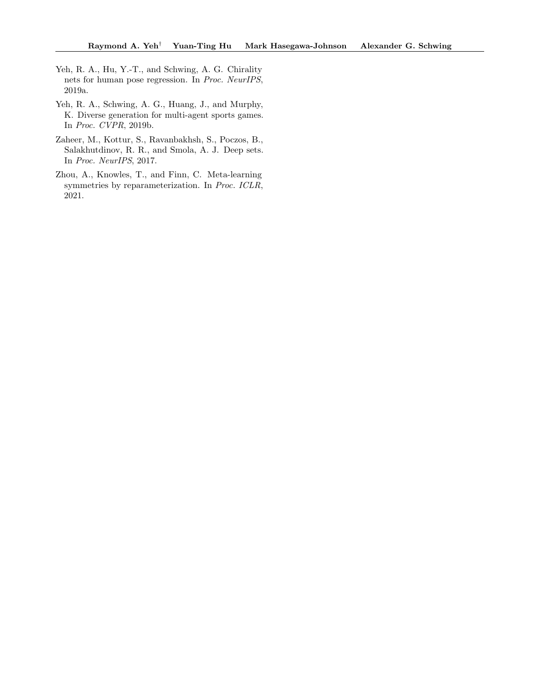- <span id="page-10-1"></span>Yeh, R. A., Hu, Y.-T., and Schwing, A. G. Chirality nets for human pose regression. In Proc. NeurIPS, 2019a.
- <span id="page-10-2"></span>Yeh, R. A., Schwing, A. G., Huang, J., and Murphy, K. Diverse generation for multi-agent sports games. In Proc. CVPR, 2019b.
- <span id="page-10-0"></span>Zaheer, M., Kottur, S., Ravanbakhsh, S., Poczos, B., Salakhutdinov, R. R., and Smola, A. J. Deep sets. In Proc. NeurIPS, 2017.
- <span id="page-10-3"></span>Zhou, A., Knowles, T., and Finn, C. Meta-learning symmetries by reparameterization. In Proc. ICLR, 2021.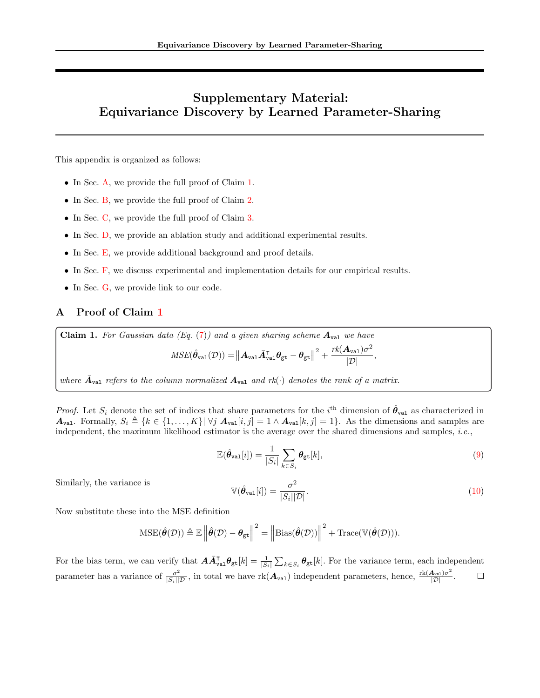# Supplementary Material: Equivariance Discovery by Learned Parameter-Sharing

This appendix is organized as follows:

- In Sec. [A,](#page-11-0) we provide the full proof of Claim [1.](#page-3-5)
- In Sec. [B,](#page-12-0) we provide the full proof of Claim [2.](#page-4-1)
- In Sec. [C,](#page-13-0) we provide the full proof of Claim [3.](#page-5-0)
- In Sec. [D,](#page-14-0) we provide an ablation study and additional experimental results.
- In Sec. [E,](#page-15-0) we provide additional background and proof details.
- In Sec. [F,](#page-16-0) we discuss experimental and implementation details for our empirical results.
- In Sec. [G,](#page-18-0) we provide link to our code.

# <span id="page-11-0"></span>A Proof of Claim [1](#page-3-5)

Claim 1. For Gaussian data (Eq.  $(7)$ ) and a given sharing scheme  $A_{\text{val}}$  we have

$$
MSE(\hat{\theta}_{\text{val}}(\mathcal{D})) = ||\mathbf{A}_{\text{val}} \bar{\mathbf{A}}_{\text{val}}^{\text{T}} \theta_{\text{gt}} - \theta_{\text{gt}}||^{2} + \frac{rk(\mathbf{A}_{\text{val}})\sigma^{2}}{|\mathcal{D}|},
$$

where  $\bar{A}_{\text{val}}$  refers to the column normalized  $A_{\text{val}}$  and  $rk(\cdot)$  denotes the rank of a matrix.

*Proof.* Let  $S_i$  denote the set of indices that share parameters for the i<sup>th</sup> dimension of  $\hat{\theta}_{val}$  as characterized in  $A_{\text{val}}$ . Formally,  $S_i \triangleq \{k \in \{1, ..., K\}|\ \forall j \ A_{\text{val}}[i,j] = 1 \land A_{\text{val}}[k,j] = 1\}$ . As the dimensions and samples are independent, the maximum likelihood estimator is the average over the shared dimensions and samples, *i.e.*,

$$
\mathbb{E}(\hat{\theta}_{\text{val}}[i]) = \frac{1}{|S_i|} \sum_{k \in S_i} \theta_{\text{gt}}[k],\tag{9}
$$

Similarly, the variance is

$$
\mathbb{V}(\hat{\theta}_{\text{val}}[i]) = \frac{\sigma^2}{|S_i||\mathcal{D}|}.
$$
\n(10)

Now substitute these into the MSE definition

$$
\mathrm{MSE}(\hat{\boldsymbol{\theta}}(\mathcal{D})) \triangleq \mathbb{E}\left\|\hat{\boldsymbol{\theta}}(\mathcal{D}) - \boldsymbol{\theta}_{\mathrm{gt}}\right\|^2 = \left\|\mathrm{Bias}(\hat{\boldsymbol{\theta}}(\mathcal{D}))\right\|^2 + \mathrm{Trace}(\mathbb{V}(\hat{\boldsymbol{\theta}}(\mathcal{D}))).
$$

For the bias term, we can verify that  $\mathbf{A}\bar{\mathbf{A}}_{\text{val}}^{\text{T}}\boldsymbol{\theta}_{\text{gt}}[k] = \frac{1}{|S_i|}\sum_{k \in S_i} \boldsymbol{\theta}_{\text{gt}}[k]$ . For the variance term, each independent parameter has a variance of  $\frac{\sigma^2}{|S_i||\mathcal{D}|}$ , in total we have rk( $\mathcal{A}_{val}$ ) independent parameters, hence,  $\frac{\text{rk}(\mathcal{A}_{val})\sigma^2}{|\mathcal{D}|}$ .  $\Box$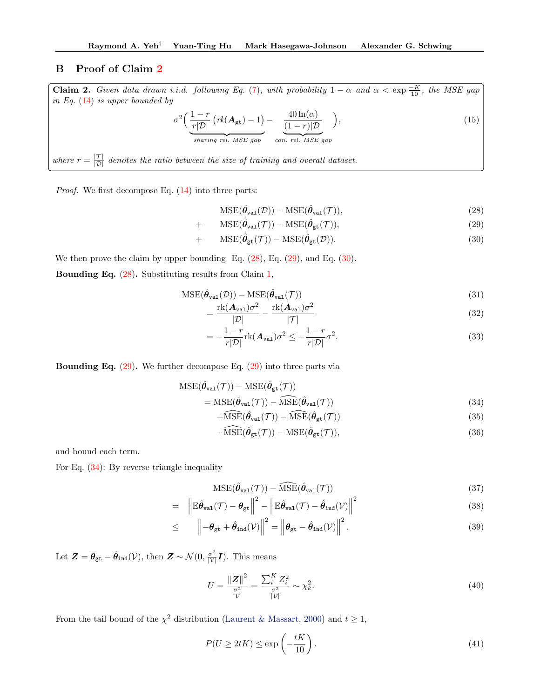## <span id="page-12-0"></span>B Proof of Claim [2](#page-4-1)

Claim 2. Given data drawn i.i.d. following Eq. [\(7\)](#page-3-1), with probability  $1 - \alpha$  and  $\alpha < \exp \frac{-K}{10}$ , the MSE gap in Eq. [\(14\)](#page-3-7) is upper bounded by  $400<sub>0</sub>$ 

$$
\sigma^2 \left( \underbrace{\frac{1-r}{r|\mathcal{D}|} \left( rk(\mathbf{A}_{\text{gt}}) - 1 \right)}_{\text{sharp rel. MSE gap}} - \underbrace{\frac{40 \ln(\alpha)}{(1-r)|\mathcal{D}|}}_{\text{con. rel. MSE gap}} \right),\tag{15}
$$

where  $r = \frac{|\mathcal{T}|}{|\mathcal{D}|}$  denotes the ratio between the size of training and overall dataset.

Proof. We first decompose Eq. [\(14\)](#page-3-7) into three parts:

<span id="page-12-1"></span>
$$
\mathrm{MSE}(\hat{\theta}_{\mathrm{val}}(\mathcal{D})) - \mathrm{MSE}(\hat{\theta}_{\mathrm{val}}(\mathcal{T})),\tag{28}
$$

$$
\mathrm{MSE}(\hat{\theta}_{\mathrm{val}}(\mathcal{T})) - \mathrm{MSE}(\hat{\theta}_{\mathrm{gt}}(\mathcal{T})),\tag{29}
$$

$$
+\qquad \text{MSE}(\hat{\theta}_{\text{gt}}(\mathcal{T}))-\text{MSE}(\hat{\theta}_{\text{gt}}(\mathcal{D})).\tag{30}
$$

We then prove the claim by upper bounding Eq.  $(28)$ , Eq.  $(29)$ , and Eq.  $(30)$ .

 $\boldsymbol{+}$ 

Bounding Eq. [\(28\)](#page-12-1). Substituting results from Claim [1,](#page-3-5)

$$
\mathrm{MSE}(\hat{\theta}_{\mathrm{val}}(\mathcal{D})) - \mathrm{MSE}(\hat{\theta}_{\mathrm{val}}(\mathcal{T}))
$$
\n(31)

$$
= \frac{\text{rk}(\mathbf{A}_{\text{val}})\sigma^2}{|\mathcal{D}|} - \frac{\text{rk}(\mathbf{A}_{\text{val}})\sigma^2}{|\mathcal{T}|} \tag{32}
$$

$$
=-\frac{1-r}{r|\mathcal{D}|}\mathrm{rk}(\mathbf{A}_{\mathrm{val}})\sigma^{2} \leq -\frac{1-r}{r|\mathcal{D}|}\sigma^{2}.
$$
\n(33)

**Bounding Eq.**  $(29)$ . We further decompose Eq.  $(29)$  into three parts via

<span id="page-12-2"></span>
$$
MSE(\hat{\theta}_{val}(\mathcal{T})) - MSE(\hat{\theta}_{gt}(\mathcal{T}))
$$
  
= MSE(\hat{\theta}\_{val}(\mathcal{T})) - MSE(\hat{\theta}\_{val}(\mathcal{T})) (34)

$$
+\widehat{\mathrm{MSE}}(\hat{\theta}_{\mathrm{val}}(\mathcal{T})) - \widehat{\mathrm{MSE}}(\hat{\theta}_{\mathrm{gt}}(\mathcal{T}))\tag{35}
$$

$$
+\widehat{\mathrm{MSE}}(\hat{\theta}_{\mathrm{gt}}(\mathcal{T})) - \mathrm{MSE}(\hat{\theta}_{\mathrm{gt}}(\mathcal{T})),\tag{36}
$$

and bound each term.

For Eq. [\(34\)](#page-12-2): By reverse triangle inequality

$$
\mathrm{MSE}(\hat{\theta}_{\mathrm{val}}(\mathcal{T})) - \widehat{\mathrm{MSE}}(\hat{\theta}_{\mathrm{val}}(\mathcal{T})) \tag{37}
$$

$$
= \left\|\mathbb{E}\hat{\theta}_{\text{val}}(\mathcal{T}) - \theta_{\text{gt}}\right\|^2 - \left\|\mathbb{E}\hat{\theta}_{\text{val}}(\mathcal{T}) - \hat{\theta}_{\text{ind}}(\mathcal{V})\right\|^2 \tag{38}
$$

$$
\leq \qquad \left\| -\theta_{\text{gt}} + \hat{\theta}_{\text{ind}}(\mathcal{V}) \right\|^2 = \left\| \theta_{\text{gt}} - \hat{\theta}_{\text{ind}}(\mathcal{V}) \right\|^2.
$$
 (39)

Let  $\mathbf{Z} = \theta_{gt} - \hat{\theta}_{ind}(\mathcal{V})$ , then  $\mathbf{Z} \sim \mathcal{N}(\mathbf{0}, \frac{\sigma^2}{|\mathcal{V}|}\mathbf{I})$ . This means

$$
U = \frac{\|\mathbf{Z}\|^{2}}{\frac{\sigma^{2}}{\mathcal{V}}} = \frac{\sum_{i}^{K} Z_{i}^{2}}{\frac{\sigma^{2}}{|\mathcal{V}|}} \sim \chi_{k}^{2}.
$$
\n(40)

From the tail bound of the  $\chi^2$  distribution [\(Laurent & Massart,](#page-9-31) [2000\)](#page-9-31) and  $t \ge 1$ ,

$$
P(U \ge 2tK) \le \exp\left(-\frac{tK}{10}\right). \tag{41}
$$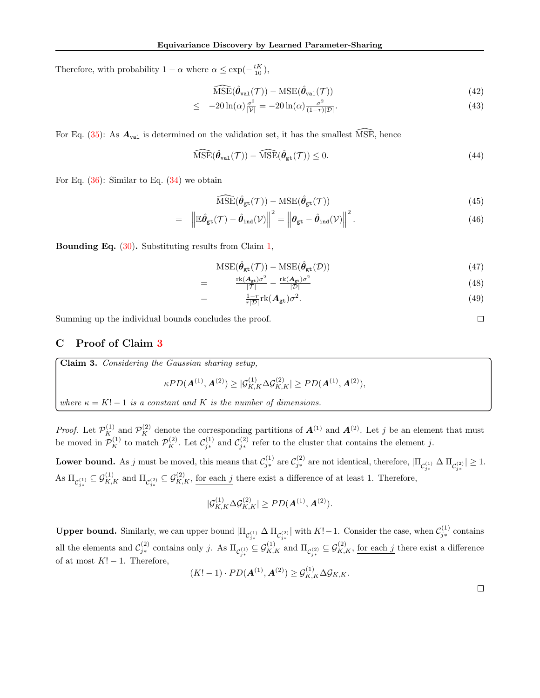Therefore, with probability  $1 - \alpha$  where  $\alpha \le \exp(-\frac{tK}{10})$ ,

$$
\widehat{\mathrm{MSE}}(\hat{\theta}_{\mathrm{val}}(\mathcal{T})) - \mathrm{MSE}(\hat{\theta}_{\mathrm{val}}(\mathcal{T})) \tag{42}
$$

$$
\leq -20\ln(\alpha)\frac{\sigma^2}{|\mathcal{V}|} = -20\ln(\alpha)\frac{\sigma^2}{(1-r)|\mathcal{D}|}.\tag{43}
$$

For Eq.  $(35)$ : As  $A_{\text{val}}$  is determined on the validation set, it has the smallest MSE, hence

$$
\widehat{\mathrm{MSE}}(\hat{\theta}_{\mathrm{val}}(\mathcal{T})) - \widehat{\mathrm{MSE}}(\hat{\theta}_{\mathrm{gt}}(\mathcal{T})) \le 0. \tag{44}
$$

For Eq.  $(36)$ : Similar to Eq.  $(34)$  we obtain

$$
\widehat{\mathrm{MSE}}(\hat{\theta}_{\mathrm{gt}}(\mathcal{T})) - \mathrm{MSE}(\hat{\theta}_{\mathrm{gt}}(\mathcal{T})) \tag{45}
$$

$$
= \left\| \mathbb{E} \hat{\theta}_{\mathrm{gt}}(\mathcal{T}) - \hat{\theta}_{\mathrm{ind}}(\mathcal{V}) \right\|^2 = \left\| \theta_{\mathrm{gt}} - \hat{\theta}_{\mathrm{ind}}(\mathcal{V}) \right\|^2.
$$
 (46)

Bounding Eq. [\(30\)](#page-12-1). Substituting results from Claim [1,](#page-3-5)

$$
\mathrm{MSE}(\hat{\theta}_{\mathrm{gt}}(\mathcal{T})) - \mathrm{MSE}(\hat{\theta}_{\mathrm{gt}}(\mathcal{D})) \tag{47}
$$

$$
= \frac{\operatorname{rk}(A_{\text{gt}})\sigma^2}{|\mathcal{T}|} - \frac{\operatorname{rk}(A_{\text{gt}})\sigma^2}{|\mathcal{D}|}
$$
(48)  

$$
= \frac{1-r}{r|\mathcal{D}|}\operatorname{rk}(A_{\text{gt}})\sigma^2.
$$
(49)

Summing up the individual bounds concludes the proof.

# <span id="page-13-0"></span>C Proof of Claim [3](#page-5-0)

**Claim 3.** Considering the Gaussian sharing setup,  
\n
$$
\kappa PD(A^{(1)}, A^{(2)}) \ge |\mathcal{G}_{K,K}^{(1)} \Delta \mathcal{G}_{K,K}^{(2)}| \ge PD(A^{(1)}, A^{(2)}),
$$
\nwhere  $\kappa = K! - 1$  is a constant and K is the number of dimensions.

*Proof.* Let  $\mathcal{P}_K^{(1)}$  and  $\mathcal{P}_K^{(2)}$  denote the corresponding partitions of  $\mathbf{A}^{(1)}$  and  $\mathbf{A}^{(2)}$ . Let j be an element that must be moved in  $\mathcal{P}_K^{(1)}$  to match  $\mathcal{P}_K^{(2)}$ . Let  $\mathcal{C}_{j*}^{(1)}$  and  $\mathcal{C}_{j*}^{(2)}$  refer to the cluster that contains the element j.

Lower bound. As j must be moved, this means that  $\mathcal{C}_{j*}^{(1)}$  are  $\mathcal{C}_{j*}^{(2)}$  are not identical, therefore,  $|\Pi_{\mathcal{C}_{j*}^{(1)}} \Delta \Pi_{\mathcal{C}_{j*}^{(2)}}| \geq 1$ . As  $\Pi_{\mathcal{C}_{j*}^{(1)}} \subseteq \mathcal{G}_{K,K}^{(1)}$  and  $\Pi_{\mathcal{C}_{j*}^{(2)}} \subseteq \mathcal{G}_{K,K}^{(2)}$ , for each j there exist a difference of at least 1. Therefore,

$$
|\mathcal{G}_{K,K}^{(1)} \Delta \mathcal{G}_{K,K}^{(2)}| \geq PD(A^{(1)}, A^{(2)}).
$$

**Upper bound.** Similarly, we can upper bound  $|\Pi_{\mathcal{C}_{j*}^{(1)}} \Delta \Pi_{\mathcal{C}_{j*}^{(2)}}|$  with  $K!-1$ . Consider the case, when  $\mathcal{C}_{j*}^{(1)}$  contains all the elements and  $\mathcal{C}_{j*}^{(2)}$  contains only j. As  $\Pi_{\mathcal{C}_{j*}^{(1)}} \subseteq \mathcal{G}_{K,K}^{(1)}$  and  $\Pi_{\mathcal{C}_{j*}^{(2)}} \subseteq \mathcal{G}_{K,K}^{(2)}$ , for each j there exist a difference of at most  $K! - 1$ . Therefore,

$$
(K!-1) \cdot PD(\mathbf{A}^{(1)}, \mathbf{A}^{(2)}) \ge \mathcal{G}_{K,K}^{(1)} \Delta \mathcal{G}_{K,K}.
$$

 $\Box$ 

 $\Box$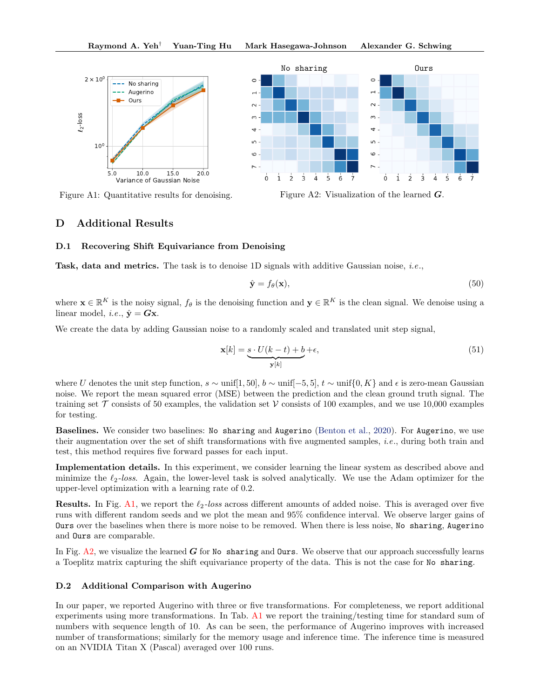



Figure A1: Quantitative results for denoising.

Figure A2: Visualization of the learned G.

## <span id="page-14-0"></span>D Additional Results

### D.1 Recovering Shift Equivariance from Denoising

Task, data and metrics. The task is to denoise 1D signals with additive Gaussian noise, *i.e.*,

$$
\hat{\mathbf{y}} = f_{\theta}(\mathbf{x}),\tag{50}
$$

where  $\mathbf{x} \in \mathbb{R}^K$  is the noisy signal,  $f_\theta$  is the denoising function and  $\mathbf{y} \in \mathbb{R}^K$  is the clean signal. We denoise using a linear model, *i.e.*,  $\hat{\mathbf{y}} = \mathbf{G}\mathbf{x}$ .

We create the data by adding Gaussian noise to a randomly scaled and translated unit step signal,

$$
\mathbf{x}[k] = \underbrace{s \cdot U(k-t) + b}_{\mathbf{y}[k]} + \epsilon,\tag{51}
$$

where U denotes the unit step function,  $s \sim \text{unif}[1, 50], b \sim \text{unif}[-5, 5], t \sim \text{unif}\{0, K\}$  and  $\epsilon$  is zero-mean Gaussian noise. We report the mean squared error (MSE) between the prediction and the clean ground truth signal. The training set  $\mathcal T$  consists of 50 examples, the validation set  $\mathcal V$  consists of 100 examples, and we use 10,000 examples for testing.

Baselines. We consider two baselines: No sharing and Augerino [\(Benton et al.,](#page-8-6) [2020\)](#page-8-6). For Augerino, we use their augmentation over the set of shift transformations with five augmented samples, i.e., during both train and test, this method requires five forward passes for each input.

Implementation details. In this experiment, we consider learning the linear system as described above and minimize the  $\ell_2$ -loss. Again, the lower-level task is solved analytically. We use the Adam optimizer for the upper-level optimization with a learning rate of 0.2.

**Results.** In Fig. [A1,](#page-4-2) we report the  $\ell_2$ -loss across different amounts of added noise. This is averaged over five runs with different random seeds and we plot the mean and 95% confidence interval. We observe larger gains of Ours over the baselines when there is more noise to be removed. When there is less noise, No sharing, Augerino and Ours are comparable.

In Fig.  $A2$ , we visualize the learned G for No sharing and Ours. We observe that our approach successfully learns a Toeplitz matrix capturing the shift equivariance property of the data. This is not the case for No sharing.

## D.2 Additional Comparison with Augerino

In our paper, we reported Augerino with three or five transformations. For completeness, we report additional experiments using more transformations. In Tab. [A1](#page-7-0) we report the training/testing time for standard sum of numbers with sequence length of 10. As can be seen, the performance of Augerino improves with increased number of transformations; similarly for the memory usage and inference time. The inference time is measured on an NVIDIA Titan X (Pascal) averaged over 100 runs.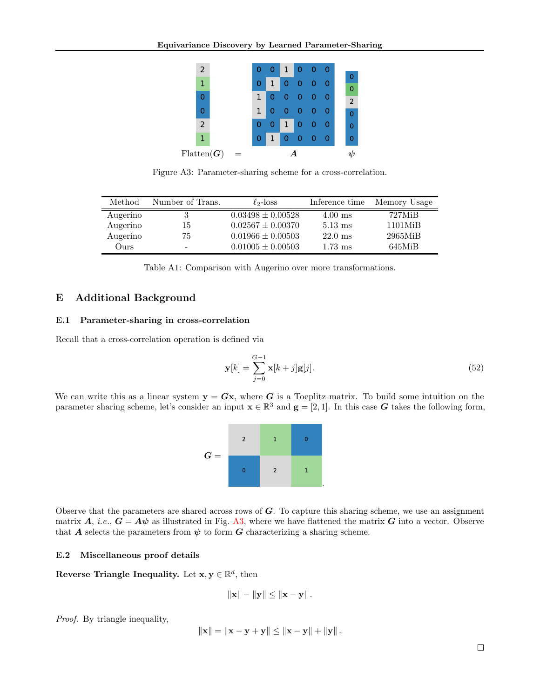| 1              |  | 0 | 1 | 0 | 0 | 0 | 0 | 0              |
|----------------|--|---|---|---|---|---|---|----------------|
| $\overline{2}$ |  | 0 | 0 | 1 | 0 | 0 | 0 | 0              |
| Ω              |  | 1 | 0 | 0 | 0 | 0 | 0 | Ω              |
| Ω              |  | 1 | 0 | 0 | 0 | 0 | 0 | $\overline{2}$ |
| 1              |  | 0 | 1 | 0 | 0 | 0 | 0 | 0              |
| $\overline{2}$ |  | O | 0 | 1 | 0 | 0 | 0 | 0              |

Figure A3: Parameter-sharing scheme for a cross-correlation.

| Method   | Number of Trans. | $\ell_{2}$ -loss      | Inference time    | Memory Usage  |
|----------|------------------|-----------------------|-------------------|---------------|
| Augerino |                  | $0.03498 \pm 0.00528$ | $4.00$ ms         | 727MiB        |
| Augerino | 15               | $0.02567 \pm 0.00370$ | $5.13 \text{ ms}$ | $1101M$ i $B$ |
| Augerino | 75               | $0.01966 \pm 0.00503$ | $22.0 \text{ ms}$ | 2965MiB       |
| Ours     |                  | $0.01005 \pm 0.00503$ | $1.73$ ms         | 645MiB        |

Table A1: Comparison with Augerino over more transformations.

## <span id="page-15-0"></span>E Additional Background

## E.1 Parameter-sharing in cross-correlation

Recall that a cross-correlation operation is defined via

$$
\mathbf{y}[k] = \sum_{j=0}^{G-1} \mathbf{x}[k+j] \mathbf{g}[j].
$$
 (52)

We can write this as a linear system  $y = Gx$ , where G is a Toeplitz matrix. To build some intuition on the parameter sharing scheme, let's consider an input  $\mathbf{x} \in \mathbb{R}^3$  and  $\mathbf{g} = [2, 1]$ . In this case G takes the following form,

| $G =$ | $\overline{2}$ | 1              | 0 |
|-------|----------------|----------------|---|
|       |                | $\overline{2}$ | 1 |

Observe that the parameters are shared across rows of  $G$ . To capture this sharing scheme, we use an assignment matrix A, i.e.,  $G = A\psi$  as illustrated in Fig. [A3,](#page-6-1) where we have flattened the matrix G into a vector. Observe that A selects the parameters from  $\psi$  to form G characterizing a sharing scheme.

## E.2 Miscellaneous proof details

Reverse Triangle Inequality. Let  $x, y \in \mathbb{R}^d$ , then

$$
\left\| \mathbf{x} \right\| - \left\| \mathbf{y} \right\| \leq \left\| \mathbf{x} - \mathbf{y} \right\|.
$$

Proof. By triangle inequality,

$$
\|\mathbf{x}\| = \|\mathbf{x} - \mathbf{y} + \mathbf{y}\| \le \|\mathbf{x} - \mathbf{y}\| + \|\mathbf{y}\|.
$$

 $\Box$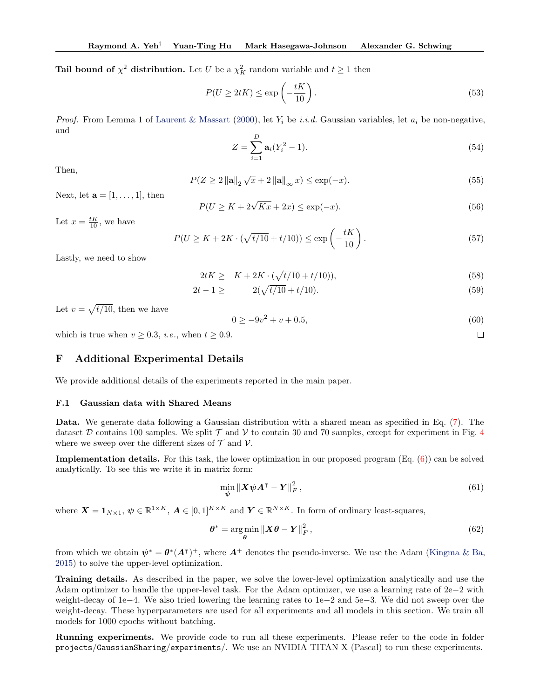**Tail bound of**  $\chi^2$  **distribution.** Let U be a  $\chi^2$  random variable and  $t \ge 1$  then

$$
P(U \ge 2tK) \le \exp\left(-\frac{tK}{10}\right). \tag{53}
$$

*Proof.* From Lemma 1 of [Laurent & Massart](#page-9-31) [\(2000\)](#page-9-31), let  $Y_i$  be i.i.d. Gaussian variables, let  $a_i$  be non-negative, and

$$
Z = \sum_{i=1}^{D} \mathbf{a}_i (Y_i^2 - 1).
$$
 (54)

Then,

$$
P(Z \ge 2 \| \mathbf{a} \|_{2} \sqrt{x} + 2 \| \mathbf{a} \|_{\infty} x) \le \exp(-x).
$$
 (55)

Next, let  $\mathbf{a} = [1, \ldots, 1]$ , then

$$
P(U \ge K + 2\sqrt{Kx} + 2x) \le \exp(-x). \tag{56}
$$

Let  $x = \frac{tK}{10}$ , we have

$$
P(U \ge K + 2K \cdot (\sqrt{t/10} + t/10)) \le \exp\left(-\frac{tK}{10}\right). \tag{57}
$$

Lastly, we need to show

$$
2tK \geq K + 2K \cdot (\sqrt{t/10} + t/10)),\tag{58}
$$

$$
2t - 1 \ge 2(\sqrt{t/10} + t/10). \tag{59}
$$

Let  $v = \sqrt{t/10}$ , then we have

$$
0 \ge -9v^2 + v + 0.5,\tag{60}
$$

 $\Box$ 

which is true when  $v \geq 0.3$ , *i.e.*, when  $t \geq 0.9$ .

# <span id="page-16-0"></span>F Additional Experimental Details

We provide additional details of the experiments reported in the main paper.

### F.1 Gaussian data with Shared Means

Data. We generate data following a Gaussian distribution with a shared mean as specified in Eq. [\(7\)](#page-3-1). The dataset D contains 100 samples. We split  $\mathcal T$  and  $\mathcal V$  to contain 30 and 70 samples, except for experiment in Fig. [4](#page-6-2) where we sweep over the different sizes of  $\mathcal T$  and  $\mathcal V$ .

Implementation details. For this task, the lower optimization in our proposed program (Eq. [\(6\)](#page-2-0)) can be solved analytically. To see this we write it in matrix form:

$$
\min_{\boldsymbol{\psi}} \|\boldsymbol{X}\boldsymbol{\psi}\boldsymbol{A}^{\mathsf{T}} - \boldsymbol{Y}\|_{F}^{2},\tag{61}
$$

where  $\boldsymbol{X} = \boldsymbol{1}_{N\times 1}$ ,  $\boldsymbol{\psi} \in \mathbb{R}^{1\times K}$ ,  $\boldsymbol{A} \in [0,1]^{K\times K}$  and  $\boldsymbol{Y} \in \mathbb{R}^{N\times K}$ . In form of ordinary least-squares,

$$
\boldsymbol{\theta}^* = \underset{\boldsymbol{\theta}}{\arg\min} \left\| \boldsymbol{X}\boldsymbol{\theta} - \boldsymbol{Y} \right\|_F^2, \tag{62}
$$

from which we obtain  $\psi^* = \theta^* (A^{\dagger})^+$ , where  $A^+$  denotes the pseudo-inverse. We use the Adam [\(Kingma & Ba,](#page-9-29) [2015\)](#page-9-29) to solve the upper-level optimization.

Training details. As described in the paper, we solve the lower-level optimization analytically and use the Adam optimizer to handle the upper-level task. For the Adam optimizer, we use a learning rate of 2e−2 with weight-decay of 1e−4. We also tried lowering the learning rates to 1e−2 and 5e−3. We did not sweep over the weight-decay. These hyperparameters are used for all experiments and all models in this section. We train all models for 1000 epochs without batching.

Running experiments. We provide code to run all these experiments. Please refer to the code in folder projects/GaussianSharing/experiments/. We use an NVIDIA TITAN X (Pascal) to run these experiments.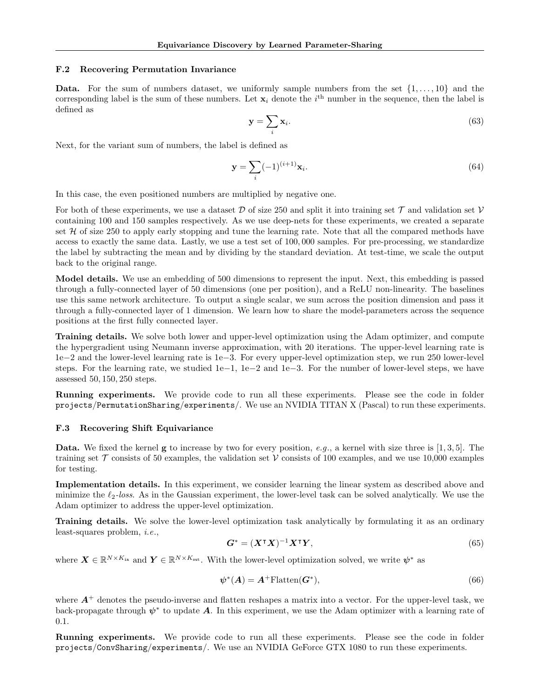### F.2 Recovering Permutation Invariance

Data. For the sum of numbers dataset, we uniformly sample numbers from the set  $\{1, \ldots, 10\}$  and the corresponding label is the sum of these numbers. Let  $x_i$  denote the  $i<sup>th</sup>$  number in the sequence, then the label is defined as

$$
\mathbf{y} = \sum_{i} \mathbf{x}_i. \tag{63}
$$

Next, for the variant sum of numbers, the label is defined as

$$
\mathbf{y} = \sum_{i} (-1)^{(i+1)} \mathbf{x}_i.
$$
 (64)

In this case, the even positioned numbers are multiplied by negative one.

For both of these experiments, we use a dataset D of size 250 and split it into training set  $\mathcal T$  and validation set  $\mathcal V$ containing 100 and 150 samples respectively. As we use deep-nets for these experiments, we created a separate set  $H$  of size 250 to apply early stopping and tune the learning rate. Note that all the compared methods have access to exactly the same data. Lastly, we use a test set of 100, 000 samples. For pre-processing, we standardize the label by subtracting the mean and by dividing by the standard deviation. At test-time, we scale the output back to the original range.

Model details. We use an embedding of 500 dimensions to represent the input. Next, this embedding is passed through a fully-connected layer of 50 dimensions (one per position), and a ReLU non-linearity. The baselines use this same network architecture. To output a single scalar, we sum across the position dimension and pass it through a fully-connected layer of 1 dimension. We learn how to share the model-parameters across the sequence positions at the first fully connected layer.

Training details. We solve both lower and upper-level optimization using the Adam optimizer, and compute the hypergradient using Neumann inverse approximation, with 20 iterations. The upper-level learning rate is 1e−2 and the lower-level learning rate is 1e−3. For every upper-level optimization step, we run 250 lower-level steps. For the learning rate, we studied 1e−1, 1e−2 and 1e−3. For the number of lower-level steps, we have assessed 50, 150, 250 steps.

Running experiments. We provide code to run all these experiments. Please see the code in folder projects/PermutationSharing/experiments/. We use an NVIDIA TITAN X (Pascal) to run these experiments.

### F.3 Recovering Shift Equivariance

**Data.** We fixed the kernel **g** to increase by two for every position, e.g., a kernel with size three is [1,3,5]. The training set  $\mathcal T$  consists of 50 examples, the validation set  $\mathcal V$  consists of 100 examples, and we use 10,000 examples for testing.

Implementation details. In this experiment, we consider learning the linear system as described above and minimize the  $\ell_2$ -loss. As in the Gaussian experiment, the lower-level task can be solved analytically. We use the Adam optimizer to address the upper-level optimization.

Training details. We solve the lower-level optimization task analytically by formulating it as an ordinary least-squares problem, i.e.,

$$
G^* = (X^\intercal X)^{-1} X^\intercal Y,\tag{65}
$$

where  $\mathbf{X} \in \mathbb{R}^{N \times K_{\text{in}}}$  and  $\mathbf{Y} \in \mathbb{R}^{N \times K_{\text{out}}}$ . With the lower-level optimization solved, we write  $\boldsymbol{\psi}^*$  as

$$
\psi^*(A) = A^+ \text{Flatten}(\mathbf{G}^*),\tag{66}
$$

where  $A^+$  denotes the pseudo-inverse and flatten reshapes a matrix into a vector. For the upper-level task, we back-propagate through  $\psi^*$  to update A. In this experiment, we use the Adam optimizer with a learning rate of 0.1.

Running experiments. We provide code to run all these experiments. Please see the code in folder projects/ConvSharing/experiments/. We use an NVIDIA GeForce GTX 1080 to run these experiments.